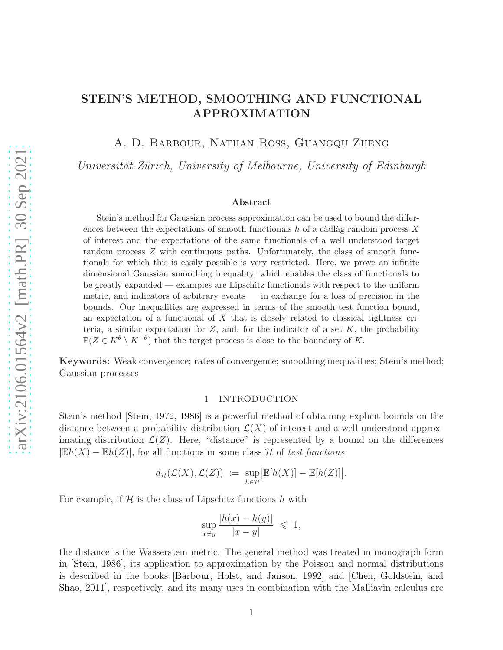# STEIN'S METHOD, SMOOTHING AND FUNCTIONAL APPROXIMATION

A. D. Barbour, Nathan Ross, Guangqu Zheng

*Universit¨at Z¨urich, University of Melbourne, University of Edinburgh*

# Abstract

Stein's method for Gaussian process approximation can be used to bound the differences between the expectations of smooth functionals h of a càdlàg random process X of interest and the expectations of the same functionals of a well understood target random process Z with continuous paths. Unfortunately, the class of smooth functionals for which this is easily possible is very restricted. Here, we prove an infinite dimensional Gaussian smoothing inequality, which enables the class of functionals to be greatly expanded — examples are Lipschitz functionals with respect to the uniform metric, and indicators of arbitrary events — in exchange for a loss of precision in the bounds. Our inequalities are expressed in terms of the smooth test function bound, an expectation of a functional of X that is closely related to classical tightness criteria, a similar expectation for  $Z$ , and, for the indicator of a set  $K$ , the probability  $\mathbb{P}(Z \in K^{\theta} \setminus K^{-\theta})$  that the target process is close to the boundary of K.

Keywords: Weak convergence; rates of convergence; smoothing inequalities; Stein's method; Gaussian processes

# 1 INTRODUCTION

Stein's method [\[Stein](#page-20-0), [1972](#page-20-0), [1986\]](#page-20-1) is a powerful method of obtaining explicit bounds on the distance between a probability distribution  $\mathcal{L}(X)$  of interest and a well-understood approximating distribution  $\mathcal{L}(Z)$ . Here, "distance" is represented by a bound on the differences  $|Eh(X) - Eh(Z)|$ , for all functions in some class H of *test functions*:

$$
d_{\mathcal{H}}(\mathcal{L}(X),\mathcal{L}(Z)) := \sup_{h\in\mathcal{H}} \bigg| \mathbb{E}[h(X)] - \mathbb{E}[h(Z)] \bigg|.
$$

For example, if  $H$  is the class of Lipschitz functions h with

$$
\sup_{x \neq y} \frac{|h(x) - h(y)|}{|x - y|} \leq 1,
$$

the distance is the Wasserstein metric. The general method was treated in monograph form in [\[Stein,](#page-20-1) [1986](#page-20-1)], its application to approximation by the Poisson and normal distributions is de[scribed in the books](#page-19-1) [\[Barbour, Holst, and Janson](#page-19-0)[,](#page-19-1) [1992\]](#page-19-0) and [Chen, Goldstein, and Shao, [2011\]](#page-19-1), respectively, and its many uses in combination with the Malliavin calculus are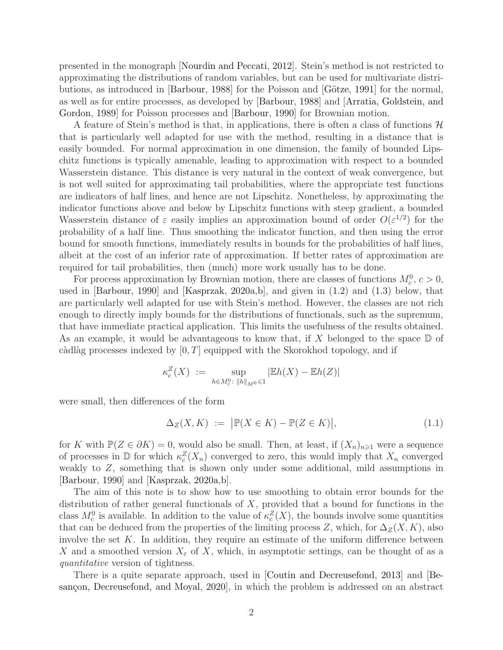presented in the monograph [\[Nourdin and Peccati](#page-20-2), [2012](#page-20-2)]. Stein's method is not restricted to approximating the distributions of random variables, but can be used for multivariate distri-butions, as introduced in [\[Barbour,](#page-19-2) [1988\]](#page-19-2) for the Poisson and [Götze, [1991\]](#page-20-3) for the normal, as well [as for entire processes, as developed by](#page-19-3) [\[Barbour](#page-19-2)[,](#page-19-3) [1988](#page-19-2)] and [Arratia, Goldstein, and Gordon, [1989](#page-19-3)] for Poisson processes and [\[Barbour](#page-19-4), [1990\]](#page-19-4) for Brownian motion.

A feature of Stein's method is that, in applications, there is often a class of functions  $\mathcal{H}$ that is particularly well adapted for use with the method, resulting in a distance that is easily bounded. For normal approximation in one dimension, the family of bounded Lipschitz functions is typically amenable, leading to approximation with respect to a bounded Wasserstein distance. This distance is very natural in the context of weak convergence, but is not well suited for approximating tail probabilities, where the appropriate test functions are indicators of half lines, and hence are not Lipschitz. Nonetheless, by approximating the indicator functions above and below by Lipschitz functions with steep gradient, a bounded Wasserstein distance of  $\varepsilon$  easily implies an approximation bound of order  $O(\varepsilon^{1/2})$  for the probability of a half line. Thus smoothing the indicator function, and then using the error bound for smooth functions, immediately results in bounds for the probabilities of half lines, albeit at the cost of an inferior rate of approximation. If better rates of approximation are required for tail probabilities, then (much) more work usually has to be done.

For process approximation by Brownian motion, there are classes of functions  $M_c^0$ ,  $c > 0$ , used in [\[Barbour](#page-19-4), [1990\]](#page-19-4) and [\[Kasprzak](#page-20-4), [2020a](#page-20-4)[,b](#page-20-5)], and given in [\(1.2\)](#page-2-0) and [\(1.3\)](#page-2-1) below, that are particularly well adapted for use with Stein's method. However, the classes are not rich enough to directly imply bounds for the distributions of functionals, such as the supremum, that have immediate practical application. This limits the usefulness of the results obtained. As an example, it would be advantageous to know that, if X belonged to the space  $\mathbb D$  of càdlàg processes indexed by  $[0, T]$  equipped with the Skorokhod topology, and if

$$
\kappa_c^Z(X) := \sup_{h \in M_c^0 : \|h\|_{M^0} \leq 1} |\mathbb{E}h(X) - \mathbb{E}h(Z)|
$$

were small, then differences of the form

$$
\Delta_Z(X, K) := |\mathbb{P}(X \in K) - \mathbb{P}(Z \in K)|, \qquad (1.1)
$$

for K with  $\mathbb{P}(Z \in \partial K) = 0$ , would also be small. Then, at least, if  $(X_n)_{n \geq 1}$  were a sequence of processes in  $\mathbb D$  for which  $\kappa_c^Z(X_n)$  converged to zero, this would imply that  $X_n$  converged weakly to Z, something that is shown only under some additional, mild assumptions in [\[Barbour,](#page-19-4) [1990](#page-19-4)] and [\[Kasprzak](#page-20-4), [2020a](#page-20-4)[,b\]](#page-20-5).

The aim of this note is to show how to use smoothing to obtain error bounds for the distribution of rather general functionals of  $X$ , provided that a bound for functions in the class  $M_c^0$  is available. In addition to the value of  $\kappa_c^Z(X)$ , the bounds involve some quantities that can be deduced from the properties of the limiting process Z, which, for  $\Delta_Z(X, K)$ , also involve the set  $K$ . In addition, they require an estimate of the uniform difference between X and a smoothed version  $X_{\varepsilon}$  of X, which, in asymptotic settings, can be thought of as a *quantitative* version of tightness.

There is a quite separate approach, used in [\[Coutin and Decreusefond](#page-20-6), [2013\]](#page-20-6) and [Besançon, Decreusefond, and Moyal, 2020, in which the problem is addressed on an abstract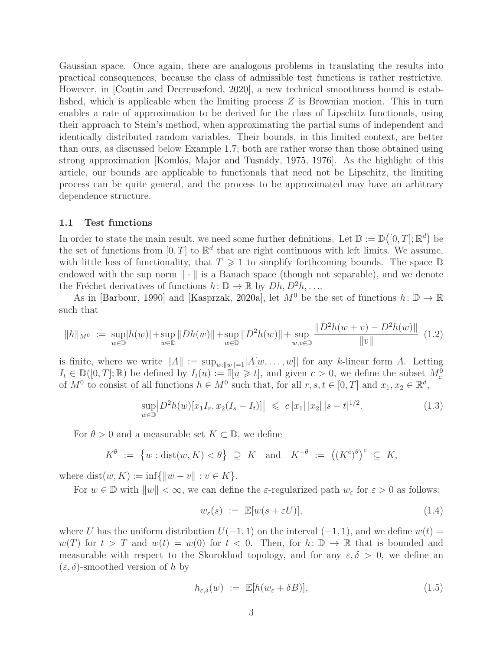Gaussian space. Once again, there are analogous problems in translating the results into practical consequences, because the class of admissible test functions is rather restrictive. However, in [\[Coutin and Decreusefond,](#page-20-7) [2020](#page-20-7)], a new technical smoothness bound is established, which is applicable when the limiting process Z is Brownian motion. This in turn enables a rate of approximation to be derived for the class of Lipschitz functionals, using their approach to Stein's method, when approximating the partial sums of independent and identically distributed random variables. Their bounds, in this limited context, are better than ours, as discussed below Example [1.7;](#page-7-0) both are rather worse than those obtained using strong approximation [Komlós, Major and Tusnády, [1975](#page-20-8), [1976\]](#page-20-9). As the highlight of this article, our bounds are applicable to functionals that need not be Lipschitz, the limiting process can be quite general, and the process to be approximated may have an arbitrary dependence structure.

# 1.1 Test functions

In order to state the main result, we need some further definitions. Let  $\mathbb{D} := \mathbb{D}([0,T]; \mathbb{R}^d)$  be the set of functions from  $[0, T]$  to  $\mathbb{R}^d$  that are right continuous with left limits. We assume, with little loss of functionality, that  $T \geq 1$  to simplify forthcoming bounds. The space  $\mathbb D$ endowed with the sup norm  $\|\cdot\|$  is a Banach space (though not separable), and we denote the Fréchet derivatives of functions  $h: \mathbb{D} \to \mathbb{R}$  by  $Dh, D^2h, \dots$ .

As in [\[Barbour](#page-19-4), [1990](#page-19-4)] and [\[Kasprzak,](#page-20-4) [2020a](#page-20-4)], let  $M^0$  be the set of functions  $h: \mathbb{D} \to \mathbb{R}$ such that

<span id="page-2-0"></span>
$$
||h||_{M^{0}} := \sup_{w \in \mathbb{D}} |h(w)| + \sup_{w \in \mathbb{D}} ||Dh(w)|| + \sup_{w \in \mathbb{D}} ||D^{2}h(w)|| + \sup_{w,v \in \mathbb{D}} \frac{||D^{2}h(w+v) - D^{2}h(w)||}{||v||} (1.2)
$$

is finite, where we write  $||A|| := \sup_{w:||w||=1} |A[w, \dots, w]|$  for any k-linear form A. Letting  $I_t \in \mathbb{D}([0,T];\mathbb{R})$  be defined by  $I_t(u) := \mathbb{I}[u \geq t]$ , and given  $c > 0$ , we define the subset  $M_c^0$ of  $M^0$  to consist of all functions  $h \in M^0$  such that, for all  $r, s, t \in [0, T]$  and  $x_1, x_2 \in \mathbb{R}^d$ ,

<span id="page-2-1"></span>
$$
\sup_{w \in \mathbb{D}} |D^2 h(w)[x_1 I_r, x_2 (I_s - I_t)]| \leqslant c |x_1| |x_2| |s - t|^{1/2}.
$$
\n(1.3)

For  $\theta > 0$  and a measurable set  $K \subset \mathbb{D}$ , we define

$$
K^{\theta} := \{ w : \text{dist}(w, K) < \theta \} \supseteq K \quad \text{and} \quad K^{-\theta} := \left( (K^{c})^{\theta} \right)^{c} \subseteq K,
$$

where dist $(w, K) := \inf \{ ||w - v|| : v \in K \}.$ 

For  $w \in \mathbb{D}$  with  $||w|| < \infty$ , we can define the *ε*-regularized path  $w_{\varepsilon}$  for  $\varepsilon > 0$  as follows:

<span id="page-2-2"></span>
$$
w_{\varepsilon}(s) := \mathbb{E}[w(s + \varepsilon U)], \qquad (1.4)
$$

where U has the uniform distribution  $U(-1, 1)$  on the interval  $(-1, 1)$ , and we define  $w(t) =$  $w(T)$  for  $t > T$  and  $w(t) = w(0)$  for  $t < 0$ . Then, for  $h: \mathbb{D} \to \mathbb{R}$  that is bounded and measurable with respect to the Skorokhod topology, and for any  $\varepsilon, \delta > 0$ , we define an  $(\varepsilon, \delta)$ -smoothed version of h by

<span id="page-2-3"></span>
$$
h_{\varepsilon,\delta}(w) := \mathbb{E}[h(w_{\varepsilon} + \delta B)], \qquad (1.5)
$$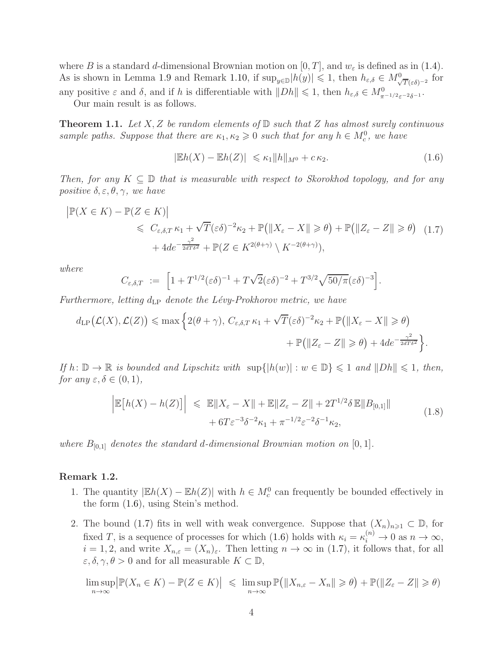where B is a standard d-dimensional Brownian motion on  $[0, T]$ , and  $w_{\varepsilon}$  is defined as in [\(1.4\)](#page-2-2). As is shown in Lemma [1.9](#page-9-0) and Remark [1.10,](#page-9-1) if  $\sup_{y\in\mathbb{D}}|h(y)| \leq 1$ , then  $h_{\varepsilon,\delta} \in M_{\sqrt{\varepsilon}}^0$ T(εδ)−<sup>2</sup> for any positive  $\varepsilon$  and  $\delta$ , and if h is differentiable with  $||Dh|| \leq 1$ , then  $h_{\varepsilon,\delta} \in M_{\pi^{-1/2}\varepsilon^{-2}\delta^{-1}}^0$ .

Our main result is as follows.

<span id="page-3-2"></span>Theorem 1.1. *Let* X, Z *be random elements of* D *such that* Z *has almost surely continuous sample paths. Suppose that there are*  $\kappa_1, \kappa_2 \geq 0$  *such that for any*  $h \in M_c^0$ , we have

<span id="page-3-0"></span>
$$
|\mathbb{E}h(X) - \mathbb{E}h(Z)| \le \kappa_1 \|h\|_{M^0} + c \kappa_2.
$$
 (1.6)

*Then, for any* <sup>K</sup> <sup>⊆</sup> <sup>D</sup> *that is measurable with respect to Skorokhod topology, and for any positive*  $\delta, \varepsilon, \theta, \gamma$ *, we have* 

<span id="page-3-1"></span>
$$
\begin{aligned} \left| \mathbb{P}(X \in K) - \mathbb{P}(Z \in K) \right| \\ &\leq C_{\varepsilon, \delta, T} \kappa_1 + \sqrt{T} (\varepsilon \delta)^{-2} \kappa_2 + \mathbb{P} \left( \|X_{\varepsilon} - X\| \geqslant \theta \right) + \mathbb{P} \left( \|Z_{\varepsilon} - Z\| \geqslant \theta \right) \\ &\quad + 4de^{-\frac{\gamma^2}{2dT\delta^2}} + \mathbb{P}(Z \in K^{2(\theta + \gamma)} \setminus K^{-2(\theta + \gamma)}), \end{aligned} \tag{1.7}
$$

*where*

$$
C_{\varepsilon,\delta,T} := \left[1 + T^{1/2}(\varepsilon \delta)^{-1} + T\sqrt{2}(\varepsilon \delta)^{-2} + T^{3/2}\sqrt{50/\pi}(\varepsilon \delta)^{-3}\right].
$$

*Furthermore, letting*  $d_{\text{LP}}$  *denote the Lévy-Prokhorov metric, we have* 

$$
d_{\text{LP}}(\mathcal{L}(X), \mathcal{L}(Z)) \le \max \left\{ 2(\theta + \gamma), \ C_{\varepsilon, \delta, T} \kappa_1 + \sqrt{T} (\varepsilon \delta)^{-2} \kappa_2 + \mathbb{P} \left( \| X_{\varepsilon} - X \| \ge \theta \right) + \mathbb{P} \left( \| Z_{\varepsilon} - Z \| \ge \theta \right) + 4de^{-\frac{\gamma^2}{2dT \delta^2}} \right\}.
$$

*If*  $h: \mathbb{D} \to \mathbb{R}$  *is bounded and Lipschitz with*  $\sup\{|h(w)| : w \in \mathbb{D}\} \leq 1$  *and*  $||Dh|| \leq 1$ *, then, for any*  $\varepsilon, \delta \in (0, 1)$ *,* 

$$
\left| \mathbb{E} \left[ h(X) - h(Z) \right] \right| \leq \mathbb{E} \| X_{\varepsilon} - X \| + \mathbb{E} \| Z_{\varepsilon} - Z \| + 2T^{1/2} \delta \mathbb{E} \| B_{[0,1]} \| + 6T \varepsilon^{-3} \delta^{-2} \kappa_1 + \pi^{-1/2} \varepsilon^{-2} \delta^{-1} \kappa_2,
$$
\n(1.8)

<span id="page-3-3"></span>*where*  $B_{[0,1]}$  *denotes the standard d-dimensional Brownian motion on*  $[0,1]$ *.* 

# Remark 1.2.

- 1. The quantity  $|Eh(X) Eh(Z)|$  with  $h \in M_c^0$  can frequently be bounded effectively in the form [\(1.6\)](#page-3-0), using Stein's method.
- 2. The bound [\(1.7\)](#page-3-1) fits in well with weak convergence. Suppose that  $(X_n)_{n\geq 1} \subset \mathbb{D}$ , for fixed T, is a sequence of processes for which [\(1.6\)](#page-3-0) holds with  $\kappa_i = \kappa_i^{(n)} \to 0$  as  $n \to \infty$ ,  $i = 1, 2$ , and write  $X_{n,\varepsilon} = (X_n)_{\varepsilon}$ . Then letting  $n \to \infty$  in [\(1.7\)](#page-3-1), it follows that, for all  $\varepsilon, \delta, \gamma, \theta > 0$  and for all measurable  $K \subset \mathbb{D}$ ,

lim sup  $n\rightarrow\infty$  $|\mathbb{P}(X_n \in K) - \mathbb{P}(Z \in K)| \leq \limsup_{n \to \infty}$  $\mathbb{P}(|X_{n,\varepsilon}-X_n| \geq \theta) + \mathbb{P}(|Z_{\varepsilon}-Z| \geq \theta)$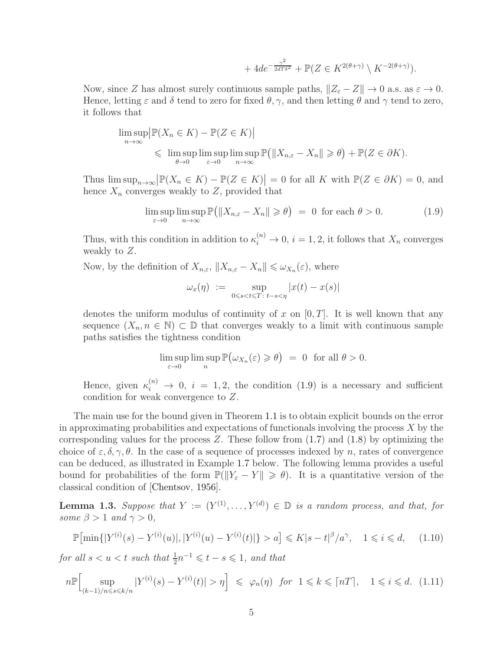$$
+ 4de^{-\frac{\gamma^2}{2dT\delta^2}} + \mathbb{P}(Z \in K^{2(\theta + \gamma)} \setminus K^{-2(\theta + \gamma)}).
$$

Now, since Z has almost surely continuous sample paths,  $||Z_{\varepsilon} - Z|| \to 0$  a.s. as  $\varepsilon \to 0$ . Hence, letting  $\varepsilon$  and  $\delta$  tend to zero for fixed  $\theta$ ,  $\gamma$ , and then letting  $\theta$  and  $\gamma$  tend to zero, it follows that

$$
\limsup_{n \to \infty} \left| \mathbb{P}(X_n \in K) - \mathbb{P}(Z \in K) \right|
$$
  
\$\leqslant \limsup\_{\theta \to 0} \limsup\_{\varepsilon \to 0} \limsup\_{n \to \infty} \mathbb{P}(\|X\_{n,\varepsilon} - X\_n\| \geqslant \theta) + \mathbb{P}(Z \in \partial K).

Thus  $\limsup_{n\to\infty} |\mathbb{P}(X_n \in K) - \mathbb{P}(Z \in K)| = 0$  for all K with  $\mathbb{P}(Z \in \partial K) = 0$ , and hence  $X_n$  converges weakly to  $Z$ , provided that

<span id="page-4-0"></span>
$$
\limsup_{\varepsilon \to 0} \limsup_{n \to \infty} \mathbb{P} \big( \|X_{n,\varepsilon} - X_n\| \geq \theta \big) = 0 \text{ for each } \theta > 0. \tag{1.9}
$$

Thus, with this condition in addition to  $\kappa_i^{(n)} \to 0$ ,  $i = 1, 2$ , it follows that  $X_n$  converges weakly to Z.

Now, by the definition of  $X_{n,\varepsilon}$ ,  $||X_{n,\varepsilon} - X_n|| \leq \omega_{X_n}(\varepsilon)$ , where

$$
\omega_x(\eta) := \sup_{0 \leq s < t \leq T \colon t - s < \eta} |x(t) - x(s)|
$$

denotes the uniform modulus of continuity of x on  $[0, T]$ . It is well known that any sequence  $(X_n, n \in \mathbb{N}) \subset \mathbb{D}$  that converges weakly to a limit with continuous sample paths satisfies the tightness condition

$$
\limsup_{\varepsilon \to 0} \limsup_n \mathbb{P}(\omega_{X_n}(\varepsilon) \geqslant \theta) = 0 \text{ for all } \theta > 0.
$$

Hence, given  $\kappa_i^{(n)} \to 0$ ,  $i = 1, 2$ , the condition [\(1.9\)](#page-4-0) is a necessary and sufficient condition for weak convergence to Z.

The main use for the bound given in Theorem [1.1](#page-3-2) is to obtain explicit bounds on the error in approximating probabilities and expectations of functionals involving the process X by the corresponding values for the process  $Z$ . These follow from  $(1.7)$  and  $(1.8)$  by optimizing the choice of  $\varepsilon, \delta, \gamma, \theta$ . In the case of a sequence of processes indexed by n, rates of convergence can be deduced, as illustrated in Example [1.7](#page-7-0) below. The following lemma provides a useful bound for probabilities of the form  $\mathbb{P}(\Vert Y_{\varepsilon} - Y \Vert \geq \theta)$ . It is a quantitative version of the classical condition of [\[Chentsov,](#page-19-6) [1956\]](#page-19-6).

<span id="page-4-3"></span>**Lemma 1.3.** Suppose that  $Y := (Y^{(1)}, \ldots, Y^{(d)}) \in \mathbb{D}$  is a random process, and that, for *some*  $\beta > 1$  *and*  $\gamma > 0$ *,* 

<span id="page-4-1"></span>
$$
\mathbb{P}[\min\{|Y^{(i)}(s) - Y^{(i)}(u)|, |Y^{(i)}(u) - Y^{(i)}(t)|\} > a] \le K|s - t|^{\beta}/a^{\gamma}, \quad 1 \le i \le d,
$$
 (1.10)

*for all*  $s < u < t$  *such that*  $\frac{1}{2}n^{-1} \leq t - s \leq 1$ *, and that* 

<span id="page-4-2"></span>
$$
n\mathbb{P}\Big[\sup_{(k-1)/n\leq s\leq k/n}|Y^{(i)}(s)-Y^{(i)}(t)|>\eta\Big]\leq \varphi_n(\eta) \text{ for } 1\leq k\leq \lceil nT\rceil, \quad 1\leq i\leq d. \tag{1.11}
$$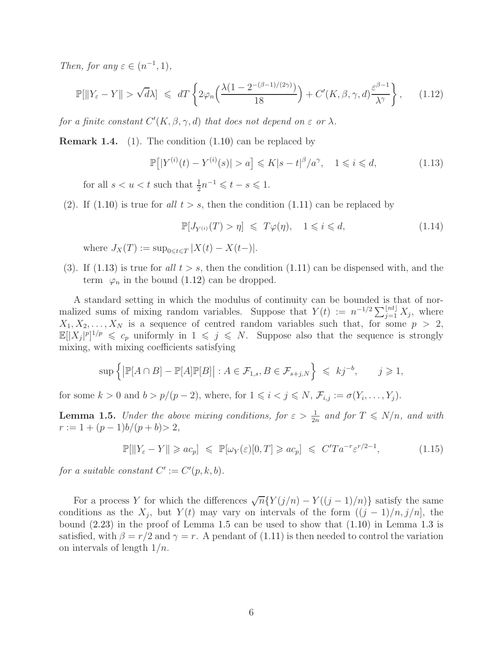*Then, for any*  $\varepsilon \in (n^{-1}, 1)$ *,* 

<span id="page-5-1"></span>
$$
\mathbb{P}[\|Y_{\varepsilon} - Y\| > \sqrt{d}\lambda] \le dT \left\{ 2\varphi_n \Big(\frac{\lambda(1 - 2^{-(\beta - 1)/(2\gamma)})}{18}\Big) + C'(K, \beta, \gamma, d) \frac{\varepsilon^{\beta - 1}}{\lambda^{\gamma}} \right\},\qquad(1.12)
$$

*for a finite constant*  $C'(K, \beta, \gamma, d)$  *that does not depend on*  $\varepsilon$  *or*  $\lambda$ *.* 

Remark 1.4. (1). The condition [\(1.10\)](#page-4-1) can be replaced by

<span id="page-5-0"></span>
$$
\mathbb{P}\big[|Y^{(i)}(t) - Y^{(i)}(s)| > a\big] \leqslant K|s - t|^{\beta}/a^{\gamma}, \quad 1 \leqslant i \leqslant d,\tag{1.13}
$$

for all  $s < u < t$  such that  $\frac{1}{2}n^{-1} \leqslant t - s \leqslant 1$ .

(2). If  $(1.10)$  is true for all  $t > s$ , then the condition  $(1.11)$  can be replaced by

$$
\mathbb{P}[J_{Y^{(i)}}(T) > \eta] \leqslant T\varphi(\eta), \quad 1 \leqslant i \leqslant d,\tag{1.14}
$$

where  $J_X(T) := \sup_{0 \le t \le T} |X(t) - X(t-)|$ .

(3). If  $(1.13)$  is true for all  $t > s$ , then the condition  $(1.11)$  can be dispensed with, and the term  $\varphi_n$  in the bound [\(1.12\)](#page-5-1) can be dropped.

A standard setting in which the modulus of continuity can be bounded is that of normalized sums of mixing random variables. Suppose that  $Y(t) := n^{-1/2} \sum_{j=1}^{\lfloor nt \rfloor} X_j$ , where  $X_1, X_2, \ldots, X_N$  is a sequence of centred random variables such that, for some  $p > 2$ ,  $\mathbb{E}[|X_j|^p]^{1/p} \leqslant c_p$  uniformly in  $1 \leqslant j \leqslant N$ . Suppose also that the sequence is strongly mixing, with mixing coefficients satisfying

$$
\sup \left\{ \left| \mathbb{P}[A \cap B] - \mathbb{P}[A] \mathbb{P}[B] \right| : A \in \mathcal{F}_{1,s}, B \in \mathcal{F}_{s+j,N} \right\} \leqslant kj^{-b}, \qquad j \geqslant 1,
$$

for some  $k > 0$  and  $b > p/(p-2)$ , where, for  $1 \leq i < j \leq N$ ,  $\mathcal{F}_{i,j} := \sigma(Y_i, \ldots, Y_j)$ .

<span id="page-5-2"></span>**Lemma 1.5.** *Under the above mixing conditions, for*  $\varepsilon > \frac{1}{2n}$  *and for*  $T \le N/n$ *, and with*  $r := 1 + (p-1)b/(p+b) > 2,$ 

<span id="page-5-3"></span>
$$
\mathbb{P}[\|Y_{\varepsilon} - Y\| \geqslant ac_p] \leqslant \mathbb{P}[\omega_Y(\varepsilon)[0, T] \geqslant ac_p] \leqslant C'Ta^{-r}\varepsilon^{r/2 - 1},\tag{1.15}
$$

for a suitable constant  $C' := C'(p, k, b)$ .

For a process Y for which the differences  $\sqrt{n}\left\{Y(j/n) - Y((j-1)/n)\right\}$  satisfy the same conditions as the  $X_j$ , but  $Y(t)$  may vary on intervals of the form  $((j-1)/n, j/n]$ , the bound [\(2.23\)](#page-19-7) in the proof of Lemma [1.5](#page-5-2) can be used to show that [\(1.10\)](#page-4-1) in Lemma [1.3](#page-4-3) is satisfied, with  $\beta = r/2$  and  $\gamma = r$ . A pendant of [\(1.11\)](#page-4-2) is then needed to control the variation on intervals of length  $1/n$ .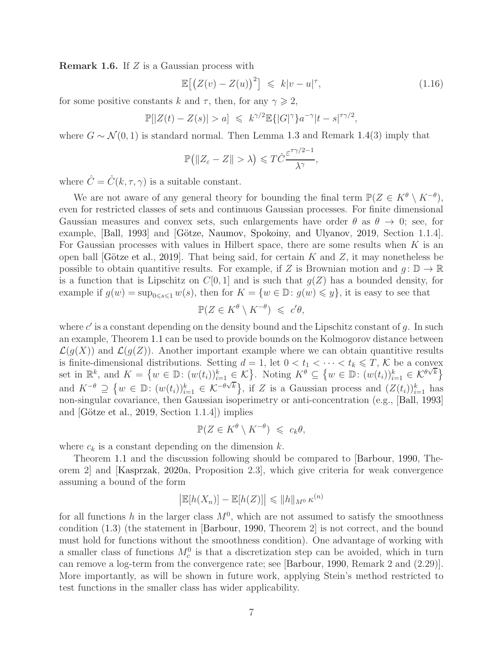<span id="page-6-0"></span>**Remark 1.6.** If  $Z$  is a Gaussian process with

$$
\mathbb{E}\big[\big(Z(v) - Z(u)\big)^2\big] \leq k|v - u|^\tau,
$$
\n(1.16)

for some positive constants k and  $\tau$ , then, for any  $\gamma \geq 2$ ,

$$
\mathbb{P}[|Z(t) - Z(s)| > a] \leq k^{\gamma/2} \mathbb{E}\{|G|^{\gamma}\} a^{-\gamma} |t - s|^{\tau \gamma/2},
$$

where  $G \sim \mathcal{N}(0, 1)$  is standard normal. Then Lemma [1.3](#page-4-3) and Remark 1.4(3) imply that

$$
\mathbb{P}\big(\|Z_{\varepsilon}-Z\|>\lambda\big)\leqslant T\hat{C}\frac{\varepsilon^{\tau\gamma/2-1}}{\lambda^{\gamma}},
$$

where  $\hat{C} = \hat{C}(k, \tau, \gamma)$  is a suitable constant.

We are not aware of any general theory for bounding the final term  $\mathbb{P}(Z \in K^{\theta} \setminus K^{-\theta}),$ even for restricted classes of sets and continuous Gaussian processes. For finite dimensional Gaussian measures and convex sets, such enlargements have order  $\theta$  as  $\theta \to 0$ ; see, for example, [\[Ball,](#page-19-8) [1993\]](#page-19-8) and  $[Götze, Naumov, Spokoiny, and Ulyanov, 2019, Section 1.1.4].$  $[Götze, Naumov, Spokoiny, and Ulyanov, 2019, Section 1.1.4].$  $[Götze, Naumov, Spokoiny, and Ulyanov, 2019, Section 1.1.4].$ For Gaussian processes with values in Hilbert space, there are some results when  $K$  is an open ball [Götze et al., [2019](#page-20-10)]. That being said, for certain K and Z, it may nonetheless be possible to obtain quantitive results. For example, if Z is Brownian motion and  $g: \mathbb{D} \to \mathbb{R}$ is a function that is Lipschitz on  $C[0, 1]$  and is such that  $g(Z)$  has a bounded density, for example if  $g(w) = \sup_{0 \le s \le 1} w(s)$ , then for  $K = \{w \in \mathbb{D} : g(w) \le y\}$ , it is easy to see that

$$
\mathbb{P}(Z \in K^{\theta} \setminus K^{-\theta}) \leq c'\theta,
$$

where  $c'$  is a constant depending on the density bound and the Lipschitz constant of  $g$ . In such an example, Theorem [1.1](#page-3-2) can be used to provide bounds on the Kolmogorov distance between  $\mathcal{L}(g(X))$  and  $\mathcal{L}(g(Z))$ . Another important example where we can obtain quantitive results is finite-dimensional distributions. Setting  $d = 1$ , let  $0 < t_1 < \cdots < t_k \leq T$ , K be a convex set in  $\mathbb{R}^k$ , and  $K = \{w \in \mathbb{D} : (w(t_i))_{i=1}^k \in \mathcal{K}\}\.$  Noting  $K^\theta \subseteq \{w \in \mathbb{D} : (w(t_i))_{i=1}^k \in \mathcal{K}^{\theta \sqrt{k}}\}\.$ and  $K^{-\theta} \supseteq \{w \in \mathbb{D} : (w(t_i))_{i=1}^k \in \mathcal{K}^{-\theta\sqrt{k}}\},\$ if Z is a Gaussian process and  $(Z(t_i))_{i=1}^k$  has non-singular covariance, then Gaussian isoperimetry or anti-concentration (e.g., [\[Ball](#page-19-8), [1993\]](#page-19-8) and  $[Götze et al., 2019, Section 1.1.4])$  $[Götze et al., 2019, Section 1.1.4])$  $[Götze et al., 2019, Section 1.1.4])$  implies

$$
\mathbb{P}(Z \in K^{\theta} \setminus K^{-\theta}) \leq c_k \theta,
$$

where  $c_k$  is a constant depending on the dimension k.

Theorem [1.1](#page-3-2) and the discussion following should be compared to [\[Barbour](#page-19-4), [1990](#page-19-4), Theorem 2] and [\[Kasprzak](#page-20-4), [2020a](#page-20-4), Proposition 2.3], which give criteria for weak convergence assuming a bound of the form

$$
\left|\mathbb{E}[h(X_n)] - \mathbb{E}[h(Z)]\right| \leq \|h\|_{M^0} \kappa^{(n)}
$$

for all functions h in the larger class  $M^0$ , which are not assumed to satisfy the smoothness condition [\(1.3\)](#page-2-1) (the statement in [\[Barbour,](#page-19-4) [1990,](#page-19-4) Theorem 2] is not correct, and the bound must hold for functions without the smoothness condition). One advantage of working with a smaller class of functions  $M_c^0$  is that a discretization step can be avoided, which in turn can remove a log-term from the convergence rate; see [\[Barbour](#page-19-4), [1990](#page-19-4), Remark 2 and (2.29)]. More importantly, as will be shown in future work, applying Stein's method restricted to test functions in the smaller class has wider applicability.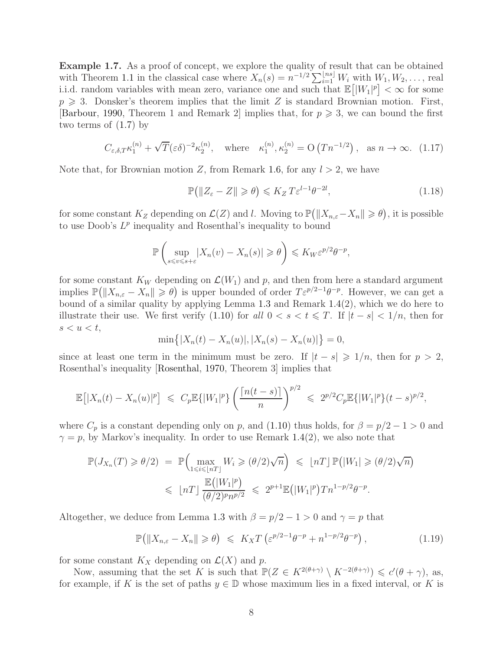<span id="page-7-0"></span>Example 1.7. As a proof of concept, we explore the quality of result that can be obtained with Theorem [1.1](#page-3-2) in the classical case where  $X_n(s) = n^{-1/2} \sum_{i=1}^{\lfloor ns \rfloor} W_i$  with  $W_1, W_2, \ldots$ , real i.i.d. random variables with mean zero, variance one and such that  $\mathbb{E}[|W_1|^p] < \infty$  for some  $p \geqslant 3$ . Donsker's theorem implies that the limit Z is standard Brownian motion. First, [\[Barbour,](#page-19-4) [1990,](#page-19-4) Theorem 1 and Remark 2] implies that, for  $p \geqslant 3$ , we can bound the first two terms of [\(1.7\)](#page-3-1) by

$$
C_{\varepsilon,\delta,T} \kappa_1^{(n)} + \sqrt{T} (\varepsilon \delta)^{-2} \kappa_2^{(n)}, \quad \text{where} \quad \kappa_1^{(n)}, \kappa_2^{(n)} = \mathcal{O}\left(T n^{-1/2}\right), \quad \text{as } n \to \infty. \tag{1.17}
$$

Note that, for Brownian motion Z, from Remark [1.6,](#page-6-0) for any  $l > 2$ , we have

<span id="page-7-2"></span><span id="page-7-1"></span>
$$
\mathbb{P}\big(\|Z_{\varepsilon} - Z\| \geqslant \theta\big) \leqslant K_Z \, T \varepsilon^{l-1} \theta^{-2l},\tag{1.18}
$$

for some constant  $K_Z$  depending on  $\mathcal{L}(Z)$  and l. Moving to  $\mathbb{P}(|X_{n,\varepsilon}-X_n| \geq \theta)$ , it is possible to use Doob's  $L^p$  inequality and Rosenthal's inequality to bound

$$
\mathbb{P}\left(\sup_{s\leq v\leq s+\varepsilon}|X_n(v)-X_n(s)|\geq \theta\right)\leqslant K_W\varepsilon^{p/2}\theta^{-p},
$$

for some constant  $K_W$  depending on  $\mathcal{L}(W_1)$  and p, and then from here a standard argument implies  $\mathbb{P}(|X_{n,\varepsilon}-X_n| \geq \theta)$  is upper bounded of order  $T \varepsilon^{p/2-1}\theta^{-p}$ . However, we can get a bound of a similar quality by applying Lemma [1.3](#page-4-3) and Remark 1.4(2), which we do here to illustrate their use. We first verify [\(1.10\)](#page-4-1) for all  $0 < s < t \leq T$ . If  $|t - s| < 1/n$ , then for  $s < u < t$ ,

$$
\min\{|X_n(t) - X_n(u)|, |X_n(s) - X_n(u)|\} = 0,
$$

since at least one term in the minimum must be zero. If  $|t - s| \geq 1/n$ , then for  $p > 2$ , Rosenthal's inequality [\[Rosenthal,](#page-20-11) [1970](#page-20-11), Theorem 3] implies that

$$
\mathbb{E}\big[|X_n(t) - X_n(u)|^p\big] \leq C_p \mathbb{E}\{|W_1|^p\} \left(\frac{\lceil n(t-s)\rceil}{n}\right)^{p/2} \leq 2^{p/2} C_p \mathbb{E}\{|W_1|^p\}(t-s)^{p/2},
$$

where  $C_p$  is a constant depending only on p, and [\(1.10\)](#page-4-1) thus holds, for  $\beta = p/2 - 1 > 0$  and  $\gamma = p$ , by Markov's inequality. In order to use Remark 1.4(2), we also note that

$$
\mathbb{P}(J_{X_n}(T) \geq \theta/2) = \mathbb{P}\left(\max_{1 \leq i \leq \lfloor nT \rfloor} W_i \geq (\theta/2)\sqrt{n}\right) \leq \lfloor nT \rfloor \mathbb{P}\left(|W_1| \geq (\theta/2)\sqrt{n}\right)
$$
  

$$
\leq \lfloor nT \rfloor \frac{\mathbb{E}\left(|W_1|^p\right)}{(\theta/2)^p n^{p/2}} \leq 2^{p+1} \mathbb{E}\left(|W_1|^p\right) T n^{1-p/2} \theta^{-p}.
$$

Altogether, we deduce from Lemma [1.3](#page-4-3) with  $\beta = p/2 - 1 > 0$  and  $\gamma = p$  that

<span id="page-7-3"></span>
$$
\mathbb{P}\big(\|X_{n,\varepsilon} - X_n\| \geq \theta\big) \leqslant K_X T\left(\varepsilon^{p/2 - 1}\theta^{-p} + n^{1 - p/2}\theta^{-p}\right),\tag{1.19}
$$

for some constant  $K_X$  depending on  $\mathcal{L}(X)$  and p.

Now, assuming that the set K is such that  $\mathbb{P}(Z \in K^{2(\theta+\gamma)} \setminus K^{-2(\theta+\gamma)}) \leq c'(\theta+\gamma)$ , as, for example, if K is the set of paths  $y \in \mathbb{D}$  whose maximum lies in a fixed interval, or K is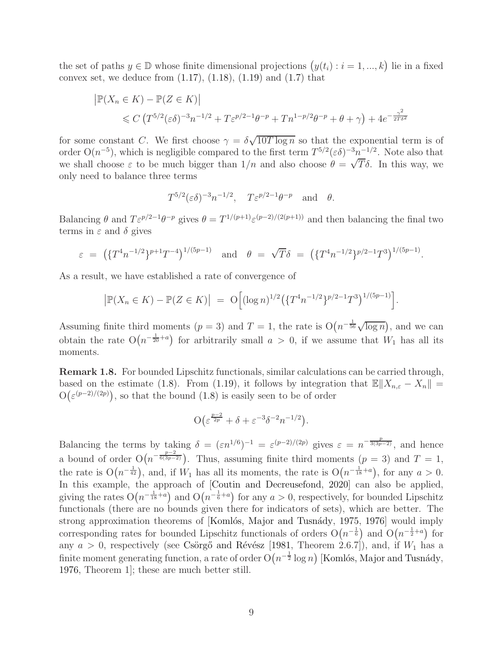the set of paths  $y \in \mathbb{D}$  whose finite dimensional projections  $(y(t_i) : i = 1, ..., k)$  lie in a fixed convex set, we deduce from  $(1.17)$ ,  $(1.18)$ ,  $(1.19)$  and  $(1.7)$  that

$$
|\mathbb{P}(X_n \in K) - \mathbb{P}(Z \in K)|
$$
  
\$\leq C \left( T^{5/2} (\varepsilon \delta)^{-3} n^{-1/2} + T \varepsilon^{p/2 - 1} \theta^{-p} + T n^{1 - p/2} \theta^{-p} + \theta + \gamma \right) + 4e^{-\frac{\gamma^2}{2T \delta^2}}\$

for some constant C. We first choose  $\gamma = \delta \sqrt{10T \log n}$  so that the exponential term is of order  $O(n^{-5})$ , which is negligible compared to the first term  $T^{5/2}(\varepsilon\delta)^{-3}n^{-1/2}$ . Note also that we shall choose  $\varepsilon$  to be much bigger than  $1/n$  and also choose  $\theta = \sqrt{T}\delta$ . In this way, we only need to balance three terms

$$
T^{5/2}(\varepsilon\delta)^{-3}n^{-1/2}, \quad T\varepsilon^{p/2-1}\theta^{-p} \quad \text{and} \quad \theta.
$$

Balancing  $\theta$  and  $T \varepsilon^{p/2-1} \theta^{-p}$  gives  $\theta = T^{1/(p+1)} \varepsilon^{(p-2)/(2(p+1))}$  and then balancing the final two terms in  $\varepsilon$  and  $\delta$  gives

$$
\varepsilon = (\{T^4 n^{-1/2}\}^{p+1} T^{-4})^{1/(5p-1)}
$$
 and  $\theta = \sqrt{T} \delta = (\{T^4 n^{-1/2}\}^{p/2-1} T^3)^{1/(5p-1)}$ .

As a result, we have established a rate of convergence of

$$
\left| \mathbb{P}(X_n \in K) - \mathbb{P}(Z \in K) \right| \ = \ O\Big[ (\log n)^{1/2} \big( \{ T^4 n^{-1/2} \}^{p/2 - 1} T^3 \big)^{1/(5p - 1)} \Big].
$$

Assuming finite third moments  $(p = 3)$  and  $T = 1$ , the rate is  $O(n^{-\frac{1}{56}}\sqrt{\log n})$ , and we can obtain the rate  $O(n^{-\frac{1}{20}+a})$  for arbitrarily small  $a > 0$ , if we assume that  $W_1$  has all its moments.

Remark 1.8. For bounded Lipschitz functionals, similar calculations can be carried through, based on the estimate [\(1.8\)](#page-3-3). From [\(1.19\)](#page-7-3), it follows by integration that  $\mathbb{E}[|X_{n,\varepsilon}-X_n|]=$  $O(\varepsilon^{(p-2)/(2p)})$ , so that the bound [\(1.8\)](#page-3-3) is easily seen to be of order

$$
\mathcal{O}\left(\varepsilon^{\frac{p-2}{2p}} + \delta + \varepsilon^{-3} \delta^{-2} n^{-1/2}\right).
$$

Balancing the terms by taking  $\delta = (\varepsilon n^{1/6})^{-1} = \varepsilon^{(p-2)/(2p)}$  gives  $\varepsilon = n^{-\frac{p}{3(3p-2)}}$ , and hence a bound of order  $O(n^{-\frac{p-2}{6(3p-2)}})$ . Thus, assuming finite third moments  $(p = 3)$  and  $T = 1$ , the rate is  $O(n^{-\frac{1}{42}})$ , and, if  $W_1$  has all its moments, the rate is  $O(n^{-\frac{1}{18}+a})$ , for any  $a > 0$ . In this example, the approach of [\[Coutin and Decreusefond](#page-20-7), [2020\]](#page-20-7) can also be applied, giving the rates  $O(n^{-\frac{1}{18}+a})$  and  $O(n^{-\frac{1}{6}+a})$  for any  $a>0$ , respectively, for bounded Lipschitz functionals (there are no bounds given there for indicators of sets), which are better. The strong approximation theorems of [Komlós, Major and Tusnády, [1975,](#page-20-8) [1976](#page-20-9)] would imply corresponding rates for bounded Lipschitz functionals of orders  $O(n^{-\frac{1}{6}})$  and  $O(n^{-\frac{1}{2}+a})$  for any  $a > 0$ , respectively (see Csörgő and Révész [\[1981](#page-20-12), Theorem 2.6.7]), and, if  $W_1$  has a finite moment generating function, a rate of order  $O(n^{-\frac{1}{2}} \log n)$  [Komlós, Major and Tusnády, [1976,](#page-20-9) Theorem 1]; these are much better still.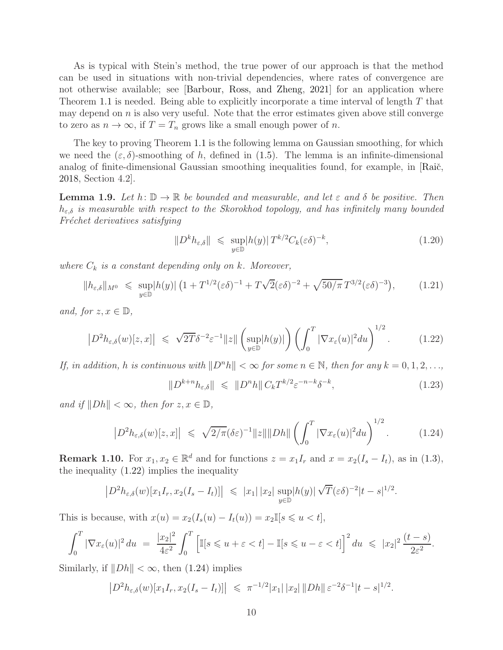As is typical with Stein's method, the true power of our approach is that the method can be used in situations with non-trivial dependencies, where rates of convergence are not otherwise available; see [\[Barbour, Ross, and Zheng](#page-19-9), [2021\]](#page-19-9) for an application where Theorem [1.1](#page-3-2) is needed. Being able to explicitly incorporate a time interval of length  $T$  that may depend on  $n$  is also very useful. Note that the error estimates given above still converge to zero as  $n \to \infty$ , if  $T = T_n$  grows like a small enough power of n.

The key to proving Theorem [1.1](#page-3-2) is the following lemma on Gaussian smoothing, for which we need the  $(\varepsilon, \delta)$ -smoothing of h, defined in [\(1.5\)](#page-2-3). The lemma is an infinite-dimensional analog of finite-dimensional Gaussian smoothing inequalities found, for example, in [Raič, [2018,](#page-20-13) Section 4.2].

<span id="page-9-0"></span>**Lemma 1.9.** Let  $h: \mathbb{D} \to \mathbb{R}$  be bounded and measurable, and let  $\varepsilon$  and  $\delta$  be positive. Then hε,δ *is measurable with respect to the Skorokhod topology, and has infinitely many bounded Fréchet derivatives satisfying* 

<span id="page-9-4"></span>
$$
||D^k h_{\varepsilon,\delta}|| \leq \sup_{y \in \mathbb{D}} |h(y)| T^{k/2} C_k(\varepsilon \delta)^{-k}, \tag{1.20}
$$

*where*  $C_k$  *is a constant depending only on*  $k$ *. Moreover,* 

$$
||h_{\varepsilon,\delta}||_{M^{0}} \leq \sup_{y \in \mathbb{D}} |h(y)| \left(1 + T^{1/2}(\varepsilon \delta)^{-1} + T\sqrt{2}(\varepsilon \delta)^{-2} + \sqrt{50/\pi} T^{3/2}(\varepsilon \delta)^{-3}\right), \tag{1.21}
$$

*and, for*  $z, x \in \mathbb{D}$ *,* 

<span id="page-9-2"></span>
$$
\left| D^2 h_{\varepsilon,\delta}(w)[z,x] \right| \leqslant \sqrt{2T} \delta^{-2} \varepsilon^{-1} \|z\| \left( \sup_{y \in \mathbb{D}} |h(y)| \right) \left( \int_0^T |\nabla x_{\varepsilon}(u)|^2 du \right)^{1/2} . \tag{1.22}
$$

*If, in addition, h is continuous with*  $\|D^n h\| < \infty$  *for some*  $n \in \mathbb{N}$ *, then for any*  $k = 0, 1, 2, \ldots$ *,* 

<span id="page-9-5"></span>
$$
||D^{k+n}h_{\varepsilon,\delta}|| \leq ||D^n h|| C_k T^{k/2} \varepsilon^{-n-k} \delta^{-k}, \tag{1.23}
$$

*and if*  $||Dh|| < \infty$ *, then for*  $z, x \in \mathbb{D}$ *,* 

<span id="page-9-3"></span>
$$
\left| D^2 h_{\varepsilon,\delta}(w)[z,x] \right| \leq \sqrt{2/\pi} (\delta \varepsilon)^{-1} \|z\| \|Dh\| \left( \int_0^T |\nabla x_{\varepsilon}(u)|^2 du \right)^{1/2}.
$$
 (1.24)

<span id="page-9-1"></span>**Remark 1.10.** For  $x_1, x_2 \in \mathbb{R}^d$  and for functions  $z = x_1 I_r$  and  $x = x_2 (I_s - I_t)$ , as in [\(1.3\)](#page-2-1), the inequality [\(1.22\)](#page-9-2) implies the inequality

$$
\left| D^2 h_{\varepsilon,\delta}(w) [x_1 I_r, x_2 (I_s - I_t)] \right| \leqslant |x_1| \, |x_2| \, \sup_{y \in \mathbb{D}} |h(y)| \, \sqrt{T} (\varepsilon \delta)^{-2} |t - s|^{1/2}.
$$

This is because, with  $x(u) = x_2(I_s(u) - I_t(u)) = x_2\mathbb{I}[s \leq u \leq t],$ 

$$
\int_0^T |\nabla x_{\varepsilon}(u)|^2 du = \frac{|x_2|^2}{4\varepsilon^2} \int_0^T \left[ \mathbb{I}[s \leq u + \varepsilon < t] - \mathbb{I}[s \leq u - \varepsilon < t] \right]^2 du \leq |x_2|^2 \frac{(t - s)}{2\varepsilon^2}.
$$

Similarly, if  $||Dh|| < \infty$ , then [\(1.24\)](#page-9-3) implies

$$
\left|D^2 h_{\varepsilon,\delta}(w)[x_1I_r,x_2(I_s-I_t)]\right| \leq \pi^{-1/2}|x_1|\,|x_2|\, \|Dh\| \, \varepsilon^{-2} \delta^{-1} |t-s|^{1/2}.
$$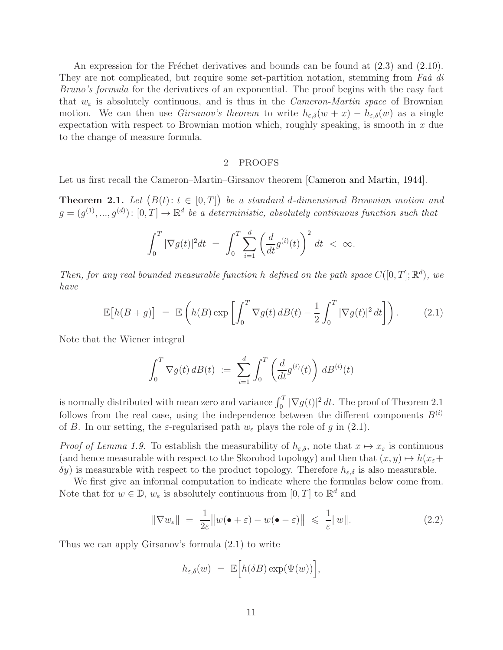An expression for the Fréchet derivatives and bounds can be found at  $(2.3)$  and  $(2.10)$ . They are not complicated, but require some set-partition notation, stemming from *Fa`a di Bruno's formula* for the derivatives of an exponential. The proof begins with the easy fact that  $w_{\varepsilon}$  is absolutely continuous, and is thus in the *Cameron-Martin space* of Brownian motion. We can then use *Girsanov's theorem* to write  $h_{\varepsilon,\delta}(w+x) - h_{\varepsilon,\delta}(w)$  as a single expectation with respect to Brownian motion which, roughly speaking, is smooth in  $x$  due to the change of measure formula.

#### <span id="page-10-0"></span>2 PROOFS

Let us first recall the Cameron–Martin–Girsanov theorem [\[Cameron and Martin](#page-19-10), [1944](#page-19-10)].

**Theorem 2.1.** Let  $(B(t): t \in [0,T])$  be a standard d-dimensional Brownian motion and  $g = (g^{(1)}, ..., g^{(d)})$ :  $[0, T] \to \mathbb{R}^d$  be a deterministic, absolutely continuous function such that

$$
\int_0^T |\nabla g(t)|^2 dt = \int_0^T \sum_{i=1}^d \left(\frac{d}{dt} g^{(i)}(t)\right)^2 dt < \infty.
$$

*Then, for any real bounded measurable function* h defined on the path space  $C([0,T]; \mathbb{R}^d)$ , we *have*

$$
\mathbb{E}\left[h(B+g)\right] = \mathbb{E}\left(h(B)\exp\left[\int_0^T \nabla g(t) \, dB(t) - \frac{1}{2} \int_0^T |\nabla g(t)|^2 \, dt\right]\right). \tag{2.1}
$$

Note that the Wiener integral

$$
\int_0^T \nabla g(t) \, dB(t) \; := \; \sum_{i=1}^d \int_0^T \left( \frac{d}{dt} g^{(i)}(t) \right) \, dB^{(i)}(t)
$$

is normally distributed with mean zero and variance  $\int_0^T |\nabla g(t)|^2 dt$ . The proof of Theorem [2.1](#page-10-0) follows from the real case, using the independence between the different components  $B^{(i)}$ of B. In our setting, the  $\varepsilon$ -regularised path  $w_{\varepsilon}$  plays the role of g in [\(2.1\)](#page-10-0).

*Proof of Lemma [1.9.](#page-9-0)* To establish the measurability of  $h_{\varepsilon,\delta}$ , note that  $x \mapsto x_{\varepsilon}$  is continuous (and hence measurable with respect to the Skorohod topology) and then that  $(x, y) \mapsto h(x_{\varepsilon}+$ δy) is measurable with respect to the product topology. Therefore  $h_{\varepsilon,\delta}$  is also measurable.

We first give an informal computation to indicate where the formulas below come from. Note that for  $w \in \mathbb{D}$ ,  $w_{\varepsilon}$  is absolutely continuous from  $[0, T]$  to  $\mathbb{R}^d$  and

<span id="page-10-1"></span>
$$
\|\nabla w_{\varepsilon}\| = \frac{1}{2\varepsilon} \|w(\bullet + \varepsilon) - w(\bullet - \varepsilon)\| \leq \frac{1}{\varepsilon} \|w\|.
$$
 (2.2)

Thus we can apply Girsanov's formula [\(2.1\)](#page-10-0) to write

$$
h_{\varepsilon,\delta}(w) = \mathbb{E}\Big[h(\delta B) \exp(\Psi(w))\Big],
$$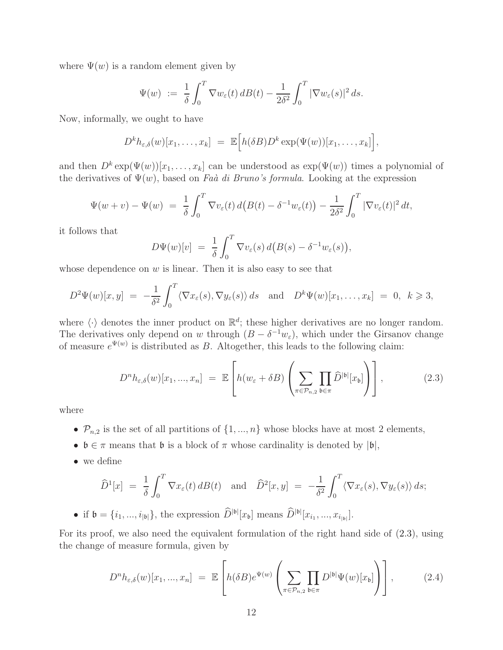where  $\Psi(w)$  is a random element given by

$$
\Psi(w) := \frac{1}{\delta} \int_0^T \nabla w_{\varepsilon}(t) \, dB(t) - \frac{1}{2\delta^2} \int_0^T |\nabla w_{\varepsilon}(s)|^2 \, ds.
$$

Now, informally, we ought to have

$$
D^k h_{\varepsilon,\delta}(w)[x_1,\ldots,x_k] = \mathbb{E}\Big[h(\delta B)D^k \exp(\Psi(w))[x_1,\ldots,x_k]\Big],
$$

and then  $D^k \exp(\Psi(w))[x_1,\ldots,x_k]$  can be understood as  $\exp(\Psi(w))$  times a polynomial of the derivatives of  $\Psi(w)$ , based on *Faà di Bruno's formula*. Looking at the expression

$$
\Psi(w+v)-\Psi(w) = \frac{1}{\delta} \int_0^T \nabla v_{\varepsilon}(t) d\big(B(t)-\delta^{-1}w_{\varepsilon}(t)\big) - \frac{1}{2\delta^2} \int_0^T |\nabla v_{\varepsilon}(t)|^2 dt,
$$

it follows that

<span id="page-11-0"></span>
$$
D\Psi(w)[v] = \frac{1}{\delta} \int_0^T \nabla v_{\varepsilon}(s) d(B(s) - \delta^{-1} w_{\varepsilon}(s)),
$$

whose dependence on  $w$  is linear. Then it is also easy to see that

$$
D^2\Psi(w)[x,y] = -\frac{1}{\delta^2} \int_0^T \langle \nabla x_\varepsilon(s), \nabla y_\varepsilon(s) \rangle ds \text{ and } D^k\Psi(w)[x_1,\ldots,x_k] = 0, \quad k \geqslant 3,
$$

where  $\langle \cdot \rangle$  denotes the inner product on  $\mathbb{R}^d$ ; these higher derivatives are no longer random. The derivatives only depend on w through  $(B - \delta^{-1}w_{\varepsilon})$ , which under the Girsanov change of measure  $e^{\Psi(w)}$  is distributed as B. Altogether, this leads to the following claim:

$$
D^{n}h_{\varepsilon,\delta}(w)[x_1,...,x_n] = \mathbb{E}\left[h(w_{\varepsilon} + \delta B)\left(\sum_{\pi \in \mathcal{P}_{n,2}} \prod_{\mathfrak{b} \in \pi} \widehat{D}^{|\mathfrak{b}|}[x_{\mathfrak{b}}]\right)\right],
$$
(2.3)

where

- $\mathcal{P}_{n,2}$  is the set of all partitions of  $\{1, ..., n\}$  whose blocks have at most 2 elements,
- $\mathfrak{b} \in \pi$  means that  $\mathfrak{b}$  is a block of  $\pi$  whose cardinality is denoted by  $|\mathfrak{b}|$ ,
- we define

$$
\widehat{D}^1[x] = \frac{1}{\delta} \int_0^T \nabla x_{\varepsilon}(t) \, dB(t) \quad \text{and} \quad \widehat{D}^2[x, y] = -\frac{1}{\delta^2} \int_0^T \langle \nabla x_{\varepsilon}(s), \nabla y_{\varepsilon}(s) \rangle \, ds;
$$

• if  $\mathfrak{b} = \{i_1, ..., i_{|\mathfrak{b}|}\}\$ , the expression  $\widehat{D}^{|\mathfrak{b}|}[x_{\mathfrak{b}}]$  means  $\widehat{D}^{|\mathfrak{b}|}[x_{i_1}, ..., x_{i_{|\mathfrak{b}|}}]$ .

For its proof, we also need the equivalent formulation of the right hand side of [\(2.3\)](#page-11-0), using the change of measure formula, given by

<span id="page-11-1"></span>
$$
D^{n}h_{\varepsilon,\delta}(w)[x_1,...,x_n] = \mathbb{E}\left[h(\delta B)e^{\Psi(w)}\left(\sum_{\pi \in \mathcal{P}_{n,2}}\prod_{\mathfrak{b} \in \pi}D^{|\mathfrak{b}|}\Psi(w)[x_{\mathfrak{b}}]\right)\right],
$$
 (2.4)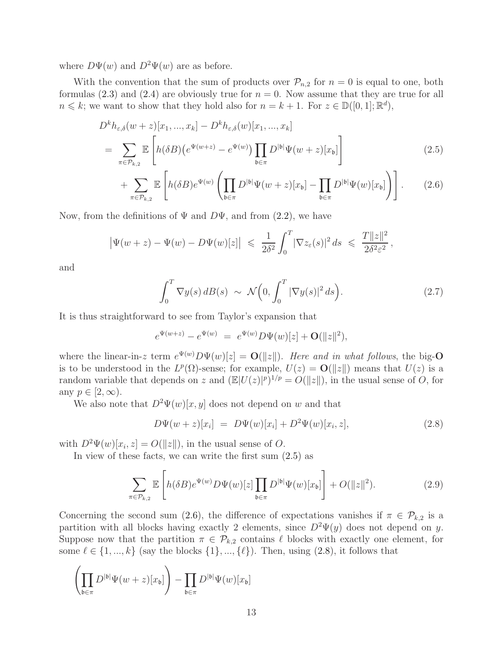where  $D\Psi(w)$  and  $D^2\Psi(w)$  are as before.

With the convention that the sum of products over  $\mathcal{P}_{n,2}$  for  $n = 0$  is equal to one, both formulas [\(2.3\)](#page-11-0) and [\(2.4\)](#page-11-1) are obviously true for  $n = 0$ . Now assume that they are true for all  $n \leq k$ ; we want to show that they hold also for  $n = k + 1$ . For  $z \in \mathbb{D}([0, 1]; \mathbb{R}^d)$ ,

$$
D^{k}h_{\varepsilon,\delta}(w+z)[x_{1},...,x_{k}] - D^{k}h_{\varepsilon,\delta}(w)[x_{1},...,x_{k}]
$$
  
= 
$$
\sum_{\pi \in \mathcal{P}_{k,2}} \mathbb{E}\left[h(\delta B)(e^{\Psi(w+z)} - e^{\Psi(w)})\prod_{\mathfrak{b} \in \pi} D^{|\mathfrak{b}|}\Psi(w+z)[x_{\mathfrak{b}}]\right]
$$
(2.5)

$$
+\sum_{\pi \in \mathcal{P}_{k,2}} \mathbb{E}\left[h(\delta B)e^{\Psi(w)}\left(\prod_{\mathfrak{b}\in \pi} D^{|\mathfrak{b}|}\Psi(w+z)[x_{\mathfrak{b}}]-\prod_{\mathfrak{b}\in \pi} D^{|\mathfrak{b}|}\Psi(w)[x_{\mathfrak{b}}]\right)\right].
$$
 (2.6)

Now, from the definitions of  $\Psi$  and  $D\Psi$ , and from [\(2.2\)](#page-10-1), we have

$$
\left|\Psi(w+z)-\Psi(w)-D\Psi(w)[z]\right| \leq \frac{1}{2\delta^2}\int_0^T |\nabla z_\varepsilon(s)|^2 ds \leq \frac{T||z||^2}{2\delta^2\varepsilon^2},
$$

and

<span id="page-12-4"></span><span id="page-12-1"></span><span id="page-12-0"></span>
$$
\int_0^T \nabla y(s) dB(s) \sim \mathcal{N}\Big(0, \int_0^T |\nabla y(s)|^2 ds\Big). \tag{2.7}
$$

It is thus straightforward to see from Taylor's expansion that

$$
e^{\Psi(w+z)} - e^{\Psi(w)} = e^{\Psi(w)}D\Psi(w)[z] + \mathbf{O}(\|z\|^2),
$$

where the linear-in-z term  $e^{\Psi(w)}D\Psi(w)[z] = O(||z||)$ . *Here and in what follows*, the big-O is to be understood in the  $L^p(\Omega)$ -sense; for example,  $U(z) = \mathbf{O}(\|z\|)$  means that  $U(z)$  is a random variable that depends on z and  $(\mathbb{E}|U(z)|^p)^{1/p} = O(||z||)$ , in the usual sense of O, for any  $p \in [2,\infty)$ .

We also note that  $D^2\Psi(w)[x, y]$  does not depend on w and that

<span id="page-12-2"></span>
$$
D\Psi(w+z)[x_i] = D\Psi(w)[x_i] + D^2\Psi(w)[x_i, z], \qquad (2.8)
$$

with  $D^2\Psi(w)[x_i, z] = O(||z||)$ , in the usual sense of O.

In view of these facts, we can write the first sum [\(2.5\)](#page-12-0) as

<span id="page-12-3"></span>
$$
\sum_{\pi \in \mathcal{P}_{k,2}} \mathbb{E}\left[h(\delta B)e^{\Psi(w)}D\Psi(w)[z]\prod_{\mathfrak{b} \in \pi} D^{|\mathfrak{b}|}\Psi(w)[x_{\mathfrak{b}}]\right] + O(\|z\|^2). \tag{2.9}
$$

Concerning the second sum [\(2.6\)](#page-12-1), the difference of expectations vanishes if  $\pi \in \mathcal{P}_{k,2}$  is a partition with all blocks having exactly 2 elements, since  $D^2\Psi(y)$  does not depend on y. Suppose now that the partition  $\pi \in \mathcal{P}_{k,2}$  contains  $\ell$  blocks with exactly one element, for some  $\ell \in \{1, ..., k\}$  (say the blocks  $\{1\}, ..., \{\ell\}$ ). Then, using  $(2.8)$ , it follows that

$$
\left(\prod_{{\mathfrak b}\in\pi}D^{|{\mathfrak b}|}\Psi(w+z)[x_{\mathfrak b}]\right)-\prod_{{\mathfrak b}\in\pi}D^{|{\mathfrak b}|}\Psi(w)[x_{\mathfrak b}]
$$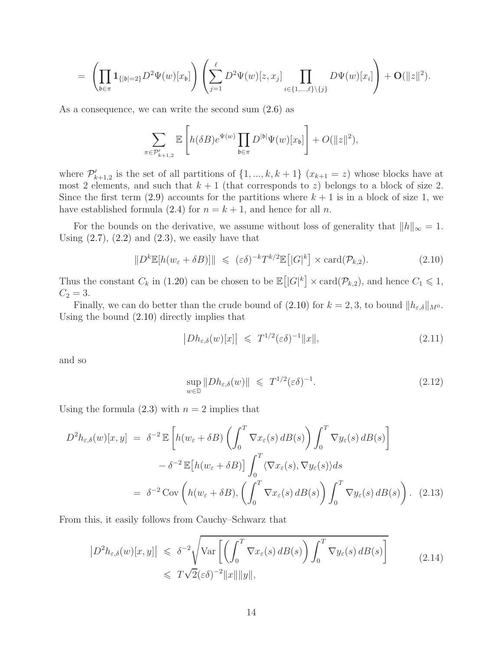$$
=\;\left(\prod_{\frak{b}\in \pi} {\bf 1}_{\{|\frak{b}|=2\}} D^2 \Psi(w)[x_{\frak{b}}]\right)\left(\sum_{j=1}^\ell D^2 \Psi(w)[z,x_j]\prod_{i\in \{1,\ldots,\ell\}\backslash\{j\}} D \Psi(w)[x_i]\right)+{\bf O}(\|z\|^2).
$$

As a consequence, we can write the second sum [\(2.6\)](#page-12-1) as

$$
\sum_{\pi \in \mathcal{P}'_{k+1,2}} \mathbb{E}\left[h(\delta B)e^{\Psi(w)}\prod_{\mathfrak{b} \in \pi} D^{|\mathfrak{b}|} \Psi(w)[x_{\mathfrak{b}}]\right] + O(\|z\|^2),
$$

where  $\mathcal{P}'_{k+1,2}$  is the set of all partitions of  $\{1, ..., k, k+1\}$   $(x_{k+1} = z)$  whose blocks have at most 2 elements, and such that  $k + 1$  (that corresponds to z) belongs to a block of size 2. Since the first term  $(2.9)$  accounts for the partitions where  $k + 1$  is in a block of size 1, we have established formula [\(2.4\)](#page-11-1) for  $n = k + 1$ , and hence for all n.

For the bounds on the derivative, we assume without loss of generality that  $||h||_{\infty} = 1$ . Using  $(2.7)$ ,  $(2.2)$  and  $(2.3)$ , we easily have that

<span id="page-13-0"></span>
$$
||D^k \mathbb{E}[h(w_{\varepsilon} + \delta B)]|| \leq (\varepsilon \delta)^{-k} T^{k/2} \mathbb{E}[|G|^k] \times \text{card}(\mathcal{P}_{k,2}). \tag{2.10}
$$

Thus the constant  $C_k$  in [\(1.20\)](#page-9-4) can be chosen to be  $\mathbb{E}\big[|G|^k\big] \times \text{card}(\mathcal{P}_{k,2}),$  and hence  $C_1 \leqslant 1$ ,  $C_2 = 3$ .

Finally, we can do better than the crude bound of [\(2.10\)](#page-13-0) for  $k = 2, 3$ , to bound  $||h_{\varepsilon,\delta}||_{M^0}$ . Using the bound [\(2.10\)](#page-13-0) directly implies that

$$
\left| Dh_{\varepsilon,\delta}(w)[x] \right| \leqslant T^{1/2}(\varepsilon \delta)^{-1} \|x\|, \tag{2.11}
$$

and so

<span id="page-13-1"></span>
$$
\sup_{w \in \mathbb{D}} \| Dh_{\varepsilon,\delta}(w) \| \leqslant T^{1/2} (\varepsilon \delta)^{-1}.
$$
\n(2.12)

Using the formula  $(2.3)$  with  $n = 2$  implies that

$$
D^{2}h_{\varepsilon,\delta}(w)[x,y] = \delta^{-2} \mathbb{E}\left[h(w_{\varepsilon} + \delta B)\left(\int_{0}^{T} \nabla x_{\varepsilon}(s) dB(s)\right)\int_{0}^{T} \nabla y_{\varepsilon}(s) dB(s)\right]
$$

$$
-\delta^{-2} \mathbb{E}\left[h(w_{\varepsilon} + \delta B)\right]\int_{0}^{T} \langle \nabla x_{\varepsilon}(s), \nabla y_{\varepsilon}(s)\rangle ds
$$

$$
= \delta^{-2} \text{Cov}\left(h(w_{\varepsilon} + \delta B), \left(\int_{0}^{T} \nabla x_{\varepsilon}(s) dB(s)\right)\int_{0}^{T} \nabla y_{\varepsilon}(s) dB(s)\right). \quad (2.13)
$$

From this, it easily follows from Cauchy–Schwarz that

<span id="page-13-2"></span>
$$
\left| D^2 h_{\varepsilon,\delta}(w)[x,y] \right| \leq \delta^{-2} \sqrt{\text{Var}\left[ \left( \int_0^T \nabla x_{\varepsilon}(s) \, dB(s) \right) \int_0^T \nabla y_{\varepsilon}(s) \, dB(s) \right]} \tag{2.14}
$$
  

$$
\leq T \sqrt{2} (\varepsilon \delta)^{-2} \|x\| \|y\|,
$$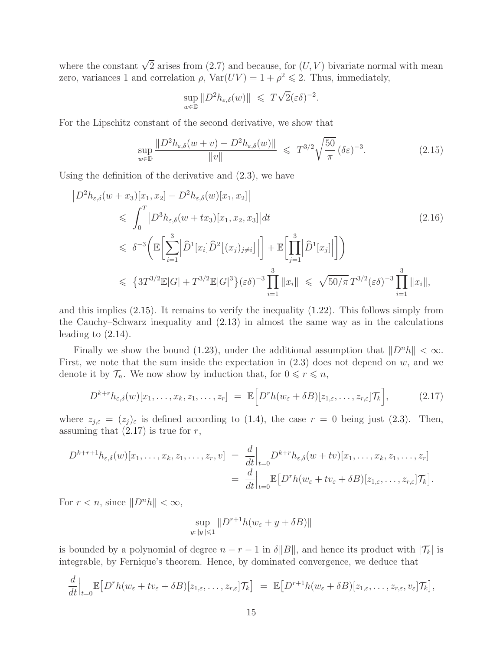where the constant  $\sqrt{2}$  arises from [\(2.7\)](#page-12-4) and because, for  $(U, V)$  bivariate normal with mean zero, variances 1 and correlation  $\rho$ , Var $(UV) = 1 + \rho^2 \leq 2$ . Thus, immediately,

<span id="page-14-2"></span>
$$
\sup_{w \in \mathbb{D}} \|D^2 h_{\varepsilon,\delta}(w)\| \ \leqslant \ T\sqrt{2}(\varepsilon \delta)^{-2}.
$$

For the Lipschitz constant of the second derivative, we show that

<span id="page-14-0"></span>
$$
\sup_{w \in \mathbb{D}} \frac{\|D^2 h_{\varepsilon,\delta}(w+v) - D^2 h_{\varepsilon,\delta}(w)\|}{\|v\|} \leqslant T^{3/2} \sqrt{\frac{50}{\pi}} (\delta \varepsilon)^{-3}.
$$
\n(2.15)

Using the definition of the derivative and [\(2.3\)](#page-11-0), we have

$$
\begin{split}\n|D^{2}h_{\varepsilon,\delta}(w+x_{3})[x_{1},x_{2}]-D^{2}h_{\varepsilon,\delta}(w)[x_{1},x_{2}]] \\
&\leq \int_{0}^{T} |D^{3}h_{\varepsilon,\delta}(w+tx_{3})[x_{1},x_{2},x_{3}]|dt \\
&\leq \delta^{-3}\bigg(\mathbb{E}\bigg[\sum_{i=1}^{3}\bigg|\widehat{D}^{1}[x_{i}]\widehat{D}^{2}[(x_{j})_{j\neq i}]\bigg|\bigg] + \mathbb{E}\bigg[\prod_{j=1}^{3}\bigg|\widehat{D}^{1}[x_{j}]\bigg|\bigg]\bigg) \\
&\leq \left\{3T^{3/2}\mathbb{E}|G| + T^{3/2}\mathbb{E}|G|^{3}\right\}(\varepsilon\delta)^{-3}\prod_{i=1}^{3}\|x_{i}\| \leq \sqrt{50/\pi}T^{3/2}(\varepsilon\delta)^{-3}\prod_{i=1}^{3}\|x_{i}\|, \end{split}
$$
\n(2.16)

and this implies [\(2.15\)](#page-14-0). It remains to verify the inequality [\(1.22\)](#page-9-2). This follows simply from the Cauchy–Schwarz inequality and [\(2.13\)](#page-13-1) in almost the same way as in the calculations leading to [\(2.14\)](#page-13-2).

Finally we show the bound [\(1.23\)](#page-9-5), under the additional assumption that  $||D<sup>n</sup>h|| < \infty$ . First, we note that the sum inside the expectation in  $(2.3)$  does not depend on w, and we denote it by  $\mathcal{T}_n$ . We now show by induction that, for  $0 \leq r \leq n$ ,

<span id="page-14-1"></span>
$$
D^{k+r}h_{\varepsilon,\delta}(w)[x_1,\ldots,x_k,z_1,\ldots,z_r] = \mathbb{E}\Big[D^r h(w_{\varepsilon}+\delta B)[z_{1,\varepsilon},\ldots,z_{r,\varepsilon}]\mathcal{T}_k\Big],\tag{2.17}
$$

where  $z_{j,\varepsilon} = (z_j)_{\varepsilon}$  is defined according to [\(1.4\)](#page-2-2), the case  $r = 0$  being just [\(2.3\)](#page-11-0). Then, assuming that  $(2.17)$  is true for r,

$$
D^{k+r+1}h_{\varepsilon,\delta}(w)[x_1,\ldots,x_k,z_1,\ldots,z_r,v] = \frac{d}{dt}\Big|_{t=0}D^{k+r}h_{\varepsilon,\delta}(w+tv)[x_1,\ldots,x_k,z_1,\ldots,z_r]
$$
  

$$
= \frac{d}{dt}\Big|_{t=0}\mathbb{E}\big[D^rh(w_{\varepsilon}+tv_{\varepsilon}+\delta B)[z_{1,\varepsilon},\ldots,z_{r,\varepsilon}]\mathcal{T}_k\big].
$$

For  $r < n$ , since  $||D^n h|| < \infty$ ,

$$
\sup_{y:\|y\|\leq 1} \|D^{r+1}h(w_{\varepsilon}+y+\delta B)\|
$$

is bounded by a polynomial of degree  $n - r - 1$  in  $\delta ||B||$ , and hence its product with  $|\mathcal{T}_k|$  is integrable, by Fernique's theorem. Hence, by dominated convergence, we deduce that

$$
\frac{d}{dt}\Big|_{t=0} \mathbb{E}\big[D^r h(w_{\varepsilon}+tv_{\varepsilon}+\delta B)[z_{1,\varepsilon},\ldots,z_{r,\varepsilon}]\mathcal{T}_k\big] = \mathbb{E}\big[D^{r+1} h(w_{\varepsilon}+\delta B)[z_{1,\varepsilon},\ldots,z_{r,\varepsilon},v_{\varepsilon}]\mathcal{T}_k\big],
$$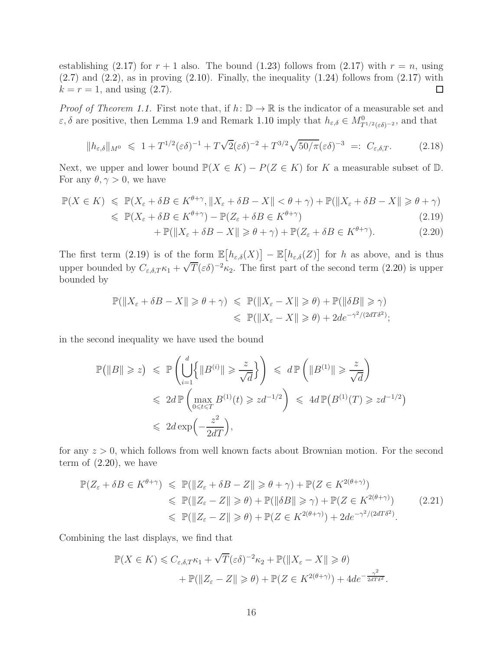establishing [\(2.17\)](#page-14-1) for  $r + 1$  also. The bound [\(1.23\)](#page-9-5) follows from (2.17) with  $r = n$ , using  $(2.7)$  and  $(2.2)$ , as in proving  $(2.10)$ . Finally, the inequality  $(1.24)$  follows from  $(2.17)$  with  $k = r = 1$ , and using  $(2.7)$ .  $\Box$ 

*Proof of Theorem [1.1.](#page-3-2)* First note that, if  $h: \mathbb{D} \to \mathbb{R}$  is the indicator of a measurable set and  $\varepsilon, \delta$  are positive, then Lemma [1.9](#page-9-0) and Remark [1.10](#page-9-1) imply that  $h_{\varepsilon,\delta} \in M^0_{T^{1/2}(\varepsilon\delta)^{-2}}$ , and that

$$
||h_{\varepsilon,\delta}||_{M^0} \leq 1 + T^{1/2}(\varepsilon \delta)^{-1} + T\sqrt{2}(\varepsilon \delta)^{-2} + T^{3/2}\sqrt{50/\pi}(\varepsilon \delta)^{-3} =: C_{\varepsilon,\delta,T}.
$$
 (2.18)

Next, we upper and lower bound  $\mathbb{P}(X \in K) - P(Z \in K)$  for K a measurable subset of D. For any  $\theta, \gamma > 0$ , we have

$$
\mathbb{P}(X \in K) \leq \mathbb{P}(X_{\varepsilon} + \delta B \in K^{\theta + \gamma}, \|X_{\varepsilon} + \delta B - X\| < \theta + \gamma) + \mathbb{P}(\|X_{\varepsilon} + \delta B - X\| \geq \theta + \gamma) \\
\leq \mathbb{P}(X_{\varepsilon} + \delta B \in K^{\theta + \gamma}) - \mathbb{P}(Z_{\varepsilon} + \delta B \in K^{\theta + \gamma})\n\tag{2.19}
$$

<span id="page-15-1"></span><span id="page-15-0"></span>
$$
+ \mathbb{P}(\|X_{\varepsilon} + \delta B - X\| \ge \theta + \gamma) + \mathbb{P}(Z_{\varepsilon} + \delta B \in K^{\theta + \gamma}). \tag{2.20}
$$

The first term [\(2.19\)](#page-15-0) is of the form  $\mathbb{E}\big[h_{\varepsilon,\delta}(X)\big] - \mathbb{E}\big[h_{\varepsilon,\delta}(Z)\big]$  for h as above, and is thus upper bounded by  $C_{\varepsilon,\delta,T} \kappa_1 + \sqrt{T} (\varepsilon \delta)^{-2} \kappa_2$ . The first part of the second term [\(2.20\)](#page-15-1) is upper bounded by

$$
\mathbb{P}(\|X_{\varepsilon} + \delta B - X\| \geqslant \theta + \gamma) \leqslant \mathbb{P}(\|X_{\varepsilon} - X\| \geqslant \theta) + \mathbb{P}(\|\delta B\| \geqslant \gamma)
$$
  

$$
\leqslant \mathbb{P}(\|X_{\varepsilon} - X\| \geqslant \theta) + 2d e^{-\gamma^2/(2d T \delta^2)};
$$

in the second inequality we have used the bound

$$
\mathbb{P}(|B|| \geqslant z) \leqslant \mathbb{P}\left(\bigcup_{i=1}^{d} \left\{ \|B^{(i)}\| \geqslant \frac{z}{\sqrt{d}} \right\} \right) \leqslant d \mathbb{P}\left(\|B^{(1)}\| \geqslant \frac{z}{\sqrt{d}} \right)
$$
  
\$\leqslant 2d \mathbb{P}\left(\max\_{0 \leqslant t \leqslant T} B^{(1)}(t) \geqslant zd^{-1/2}\right) \leqslant 4d \mathbb{P}(B^{(1)}(T) \geqslant zd^{-1/2})\$  
\$\leqslant 2d \exp\left(-\frac{z^2}{2dT}\right),\$

for any  $z > 0$ , which follows from well known facts about Brownian motion. For the second term of  $(2.20)$ , we have

$$
\mathbb{P}(Z_{\varepsilon} + \delta B \in K^{\theta + \gamma}) \leq \mathbb{P}(\|Z_{\varepsilon} + \delta B - Z\| \geq \theta + \gamma) + \mathbb{P}(Z \in K^{2(\theta + \gamma)})
$$
  
\n
$$
\leq \mathbb{P}(\|Z_{\varepsilon} - Z\| \geq \theta) + \mathbb{P}(\|\delta B\| \geq \gamma) + \mathbb{P}(Z \in K^{2(\theta + \gamma)})
$$
  
\n
$$
\leq \mathbb{P}(\|Z_{\varepsilon} - Z\| \geq \theta) + \mathbb{P}(Z \in K^{2(\theta + \gamma)}) + 2de^{-\gamma^2/(2dT\delta^2)}.
$$
\n(2.21)

Combining the last displays, we find that

$$
\mathbb{P}(X \in K) \leq C_{\varepsilon,\delta,T} \kappa_1 + \sqrt{T}(\varepsilon \delta)^{-2} \kappa_2 + \mathbb{P}(\|X_{\varepsilon} - X\| \geqslant \theta) + \mathbb{P}(\|Z_{\varepsilon} - Z\| \geqslant \theta) + \mathbb{P}(Z \in K^{2(\theta + \gamma)}) + 4de^{-\frac{\gamma^2}{2dT\delta^2}}.
$$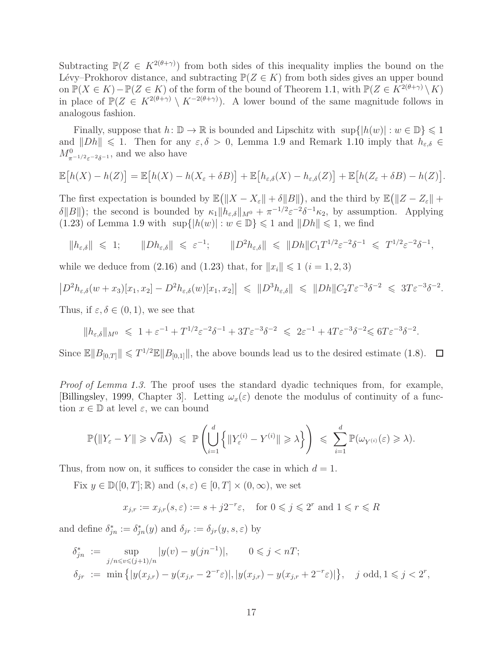Subtracting  $\mathbb{P}(Z \in K^{2(\theta+\gamma)})$  from both sides of this inequality implies the bound on the Lévy–Prokhorov distance, and subtracting  $\mathbb{P}(Z \in K)$  from both sides gives an upper bound on  $\mathbb{P}(X \in K) - \mathbb{P}(Z \in K)$  of the form of the bound of Theorem [1.1,](#page-3-2) with  $\mathbb{P}(Z \in K^{2(\theta + \gamma)} \setminus K)$ in place of  $\mathbb{P}(Z \in K^{2(\theta+\gamma)} \setminus K^{-2(\theta+\gamma)})$ . A lower bound of the same magnitude follows in analogous fashion.

Finally, suppose that  $h: \mathbb{D} \to \mathbb{R}$  is bounded and Lipschitz with  $\sup\{|h(w)| : w \in \mathbb{D}\} \leq 1$ and  $||Dh|| \le 1$ . Then for any  $\varepsilon, \delta > 0$ , Lemma [1.9](#page-9-0) and Remark [1.10](#page-9-1) imply that  $h_{\varepsilon,\delta} \in$  $M^0_{\pi^{-1/2}\varepsilon^{-2}\delta^{-1}}$ , and we also have

$$
\mathbb{E}\big[h(X)-h(Z)\big]=\mathbb{E}\big[h(X)-h(X_{\varepsilon}+\delta B)\big]+\mathbb{E}\big[h_{\varepsilon,\delta}(X)-h_{\varepsilon,\delta}(Z)\big]+\mathbb{E}\big[h(Z_{\varepsilon}+\delta B)-h(Z)\big].
$$

The first expectation is bounded by  $\mathbb{E}(|X - X_{\varepsilon}| + \delta ||B||)$ , and the third by  $\mathbb{E}(|Z - Z_{\varepsilon}| +$  $\delta ||B||$ ); the second is bounded by  $\kappa_1 ||h_{\varepsilon,\delta}||_{M^0} + \pi^{-1/2} \varepsilon^{-2} \delta^{-1} \kappa_2$ , by assumption. Applying  $(1.23)$  of Lemma [1.9](#page-9-0) with  $\sup\{|h(w)| : w \in \mathbb{D}\}\leq 1$  and  $||Dh|| \leq 1$ , we find

$$
||h_{\varepsilon,\delta}|| \leq 1; \qquad ||Dh_{\varepsilon,\delta}|| \leq \varepsilon^{-1}; \qquad ||D^2h_{\varepsilon,\delta}|| \leq ||Dh||C_1T^{1/2}\varepsilon^{-2}\delta^{-1} \leq T^{1/2}\varepsilon^{-2}\delta^{-1},
$$

while we deduce from [\(2.16\)](#page-14-2) and [\(1.23\)](#page-9-5) that, for  $||x_i|| \le 1$  (i = 1, 2, 3)

$$
\left|D^2 h_{\varepsilon,\delta}(w+x_3)[x_1,x_2]-D^2 h_{\varepsilon,\delta}(w)[x_1,x_2]\right| \leq \|D^3 h_{\varepsilon,\delta}\| \leq \|Dh\| C_2 T \varepsilon^{-3} \delta^{-2} \leq 3T \varepsilon^{-3} \delta^{-2}.
$$

Thus, if  $\varepsilon, \delta \in (0, 1)$ , we see that

$$
||h_{\varepsilon,\delta}||_{M^0} \leq 1 + \varepsilon^{-1} + T^{1/2}\varepsilon^{-2}\delta^{-1} + 3T\varepsilon^{-3}\delta^{-2} \leq 2\varepsilon^{-1} + 4T\varepsilon^{-3}\delta^{-2} \leq 6T\varepsilon^{-3}\delta^{-2}.
$$

Since  $\mathbb{E} \|B_{[0,T]}\| \leq T^{1/2} \mathbb{E} \|B_{[0,1]}\|$ , the above bounds lead us to the desired estimate [\(1.8\)](#page-3-3).

*Proof of Lemma [1.3.](#page-4-3)* The proof uses the standard dyadic techniques from, for example, [\[Billingsley,](#page-19-11) [1999,](#page-19-11) Chapter 3]. Letting  $\omega_x(\varepsilon)$  denote the modulus of continuity of a function  $x \in \mathbb{D}$  at level  $\varepsilon$ , we can bound

$$
\mathbb{P}\big(\|Y_{\varepsilon} - Y\| \geqslant \sqrt{d}\lambda\big) \ \leqslant \ \mathbb{P}\left(\bigcup_{i=1}^d \Big\{\|Y_{\varepsilon}^{(i)} - Y^{(i)}\| \geqslant \lambda\Big\}\right) \ \leqslant \ \sum_{i=1}^d \mathbb{P}(\omega_{Y^{(i)}}(\varepsilon) \geqslant \lambda).
$$

Thus, from now on, it suffices to consider the case in which  $d = 1$ .

Fix  $y \in \mathbb{D}([0,T];\mathbb{R})$  and  $(s,\varepsilon) \in [0,T] \times (0,\infty)$ , we set

$$
x_{j,r} := x_{j,r}(s,\varepsilon) := s + j2^{-r}\varepsilon
$$
, for  $0 \le j \le 2^r$  and  $1 \le r \le R$ 

and define  $\delta_{jn}^* := \delta_{jn}^*(y)$  and  $\delta_{jr} := \delta_{jr}(y, s, \varepsilon)$  by

$$
\delta_{jn}^* := \sup_{j/n \le v \le (j+1)/n} |y(v) - y(jn^{-1})|, \qquad 0 \le j < n.
$$
\n
$$
\delta_{jr} := \min \left\{ |y(x_{j,r}) - y(x_{j,r} - 2^{-r}\varepsilon)|, |y(x_{j,r}) - y(x_{j,r} + 2^{-r}\varepsilon)| \right\}, \quad j \text{ odd}, 1 \le j < 2^r,
$$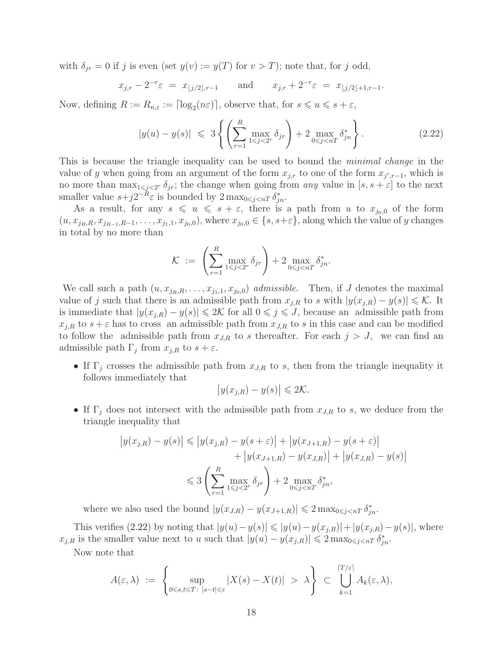with  $\delta_{ir} = 0$  if j is even (set  $y(v) := y(T)$  for  $v > T$ ); note that, for j odd,

$$
x_{j,r} - 2^{-r} \varepsilon = x_{\lfloor j/2 \rfloor, r-1}
$$
 and  $x_{j,r} + 2^{-r} \varepsilon = x_{\lfloor j/2 \rfloor + 1, r-1}.$ 

Now, defining  $R := R_{n,\varepsilon} := \lceil \log_2(n\varepsilon) \rceil$ , observe that, for  $s \leqslant u \leqslant s + \varepsilon$ ,

<span id="page-17-0"></span>
$$
|y(u) - y(s)| \leq 3 \left\{ \left( \sum_{r=1}^{R} \max_{1 \leq j < 2^r} \delta_{jr} \right) + 2 \max_{0 \leq j < nT} \delta_{jn}^* \right\} . \tag{2.22}
$$

This is because the triangle inequality can be used to bound the *minimal change* in the value of y when going from an argument of the form  $x_{j,r}$  to one of the form  $x_{j',r-1}$ , which is no more than  $\max_{1 \leq j \leq 2^r} \delta_{jr}$ ; the change when going from *any* value in  $[s, s + \varepsilon]$  to the next smaller value  $s+j2^{-R}\varepsilon$  is bounded by  $2 \max_{0 \le j \le nT} \delta_{jn}^*$ .

As a result, for any  $s \leq u \leq s + \varepsilon$ , there is a path from u to  $x_{j_0,0}$  of the form  $(u, x_{j_R, R}, x_{j_{R-1}, R-1}, \ldots, x_{j_1,1}, x_{j_0,0}),$  where  $x_{j_0,0} \in \{s, s+\varepsilon\}$ , along which the value of y changes in total by no more than

$$
\mathcal{K} := \left(\sum_{r=1}^R \max_{1 \leq j < 2^r} \delta_{jr}\right) + 2 \max_{0 \leq j < n} \delta^*_{jn}.
$$

We call such a path  $(u, x_{j_R, R}, \ldots, x_{j_1,1}, x_{j_0,0})$  *admissible*. Then, if J denotes the maximal value of j such that there is an admissible path from  $x_{j,R}$  to s with  $|y(x_{j,R}) - y(s)| \leq \mathcal{K}$ . It is immediate that  $|y(x_{j,R}) - y(s)| \leq 2\mathcal{K}$  for all  $0 \leq j \leq J$ , because an admissible path from  $x_{i,R}$  to  $s + \varepsilon$  has to cross an admissible path from  $x_{J,R}$  to s in this case and can be modified to follow the admissible path from  $x_{J,R}$  to s thereafter. For each  $j > J$ , we can find an admissible path  $\Gamma_j$  from  $x_{j,R}$  to  $s + \varepsilon$ .

• If  $\Gamma_j$  crosses the admissible path from  $x_{J,R}$  to s, then from the triangle inequality it follows immediately that

$$
\left|y(x_{j,R})-y(s)\right|\leqslant 2\mathcal{K}.
$$

• If  $\Gamma_i$  does not intersect with the admissible path from  $x_{J,R}$  to s, we deduce from the triangle inequality that

$$
\left|y(x_{j,R}) - y(s)\right| \leq \left|y(x_{j,R}) - y(s+\varepsilon)\right| + \left|y(x_{J+1,R}) - y(s+\varepsilon)\right|
$$

$$
+ \left|y(x_{J+1,R}) - y(x_{J,R})\right| + \left|y(x_{J,R}) - y(s)\right|
$$

$$
\leq 3\left(\sum_{r=1}^R \max_{1 \leq j < 2^r} \delta_{jr}\right) + 2 \max_{0 \leq j < n} \delta_{jn}^*,
$$

where we also used the bound  $|y(x_{J,R}) - y(x_{J+1,R})| \leq 2 \max_{0 \leq j < n} \delta_{jn}^*$ .

This verifies [\(2.22\)](#page-17-0) by noting that  $|y(u)-y(s)| \leq |y(u)-y(x_{j,R})|+|y(x_{j,R})-y(s)|$ , where  $x_{j,R}$  is the smaller value next to u such that  $|y(u) - y(x_{j,R})| \leq 2 \max_{0 \leq j < n} \delta_{jn}^*$ .

Now note that

$$
A(\varepsilon,\lambda) := \left\{ \sup_{0 \leq s,t \leq T: \ |s-t| \leq \varepsilon} |X(s) - X(t)| > \lambda \right\} \subset \bigcup_{k=1}^{\lceil T/\varepsilon \rceil} A_k(\varepsilon,\lambda),
$$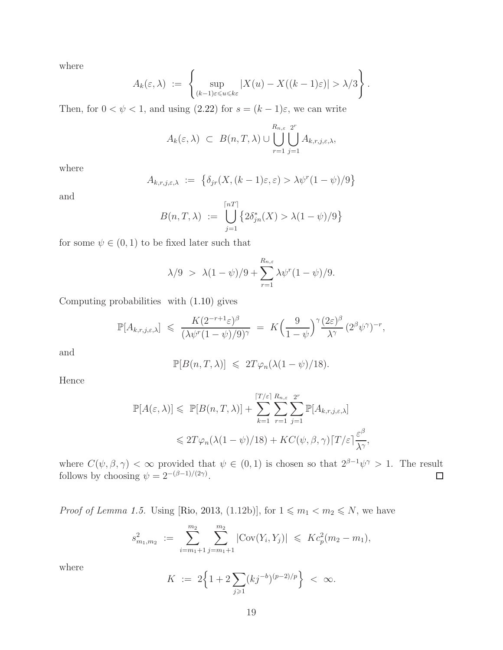where

$$
A_k(\varepsilon,\lambda) \ := \ \left\{ \sup_{(k-1)\varepsilon \leqslant u \leqslant k\varepsilon} |X(u) - X((k-1)\varepsilon)| > \lambda/3 \right\}.
$$

Then, for  $0 < \psi < 1$ , and using  $(2.22)$  for  $s = (k-1)\varepsilon$ , we can write

$$
A_k(\varepsilon,\lambda) \subset B(n,T,\lambda) \cup \bigcup_{r=1}^{R_{n,\varepsilon}} \bigcup_{j=1}^{2^r} A_{k,r,j,\varepsilon,\lambda},
$$

where

$$
A_{k,r,j,\varepsilon,\lambda} := \left\{ \delta_{jr}(X,(k-1)\varepsilon,\varepsilon) > \lambda \psi^r (1-\psi)/9 \right\}
$$

and

$$
B(n, T, \lambda) := \bigcup_{j=1}^{\lceil nT \rceil} \{ 2\delta_{jn}^*(X) > \lambda(1 - \psi)/9 \}
$$

for some  $\psi \in (0,1)$  to be fixed later such that

$$
\lambda/9
$$
 >  $\lambda(1 - \psi)/9 + \sum_{r=1}^{R_{n,\varepsilon}} \lambda \psi^r (1 - \psi)/9.$ 

Computing probabilities with [\(1.10\)](#page-4-1) gives

$$
\mathbb{P}[A_{k,r,j,\varepsilon,\lambda}] \leq \frac{K(2^{-r+1}\varepsilon)^{\beta}}{(\lambda \psi^r (1-\psi)/9)^{\gamma}} = K\left(\frac{9}{1-\psi}\right)^{\gamma} \frac{(2\varepsilon)^{\beta}}{\lambda^{\gamma}} (2^{\beta} \psi^{\gamma})^{-r},
$$

and

$$
\mathbb{P}[B(n,T,\lambda)] \leq 2T\varphi_n(\lambda(1-\psi)/18).
$$

Hence

$$
\mathbb{P}[A(\varepsilon,\lambda)] \leq \mathbb{P}[B(n,T,\lambda)] + \sum_{k=1}^{[T/\varepsilon]} \sum_{r=1}^{R_{n,\varepsilon}} \sum_{j=1}^{2^r} \mathbb{P}[A_{k,r,j,\varepsilon,\lambda}]
$$
  

$$
\leq 2T\varphi_n(\lambda(1-\psi)/18) + KC(\psi,\beta,\gamma)[T/\varepsilon] \frac{\varepsilon^{\beta}}{\lambda^{\gamma}},
$$

where  $C(\psi, \beta, \gamma) < \infty$  provided that  $\psi \in (0, 1)$  is chosen so that  $2^{\beta - 1}\psi^{\gamma} > 1$ . The result follows by choosing  $\psi = 2^{-(\beta - 1)/(2\gamma)}$ .

*Proof of Lemma [1.5.](#page-5-2)* Using [\[Rio](#page-20-14), [2013](#page-20-14), (1.12b)], for  $1 \leq m_1 < m_2 \leq N$ , we have

$$
s_{m_1,m_2}^2 := \sum_{i=m_1+1}^{m_2} \sum_{j=m_1+1}^{m_2} |Cov(Y_i, Y_j)| \leqslant Kc_p^2(m_2 - m_1),
$$

where

$$
K := 2\Big\{1 + 2\sum_{j\geqslant 1} (kj^{-b})^{(p-2)/p}\Big\} < \infty.
$$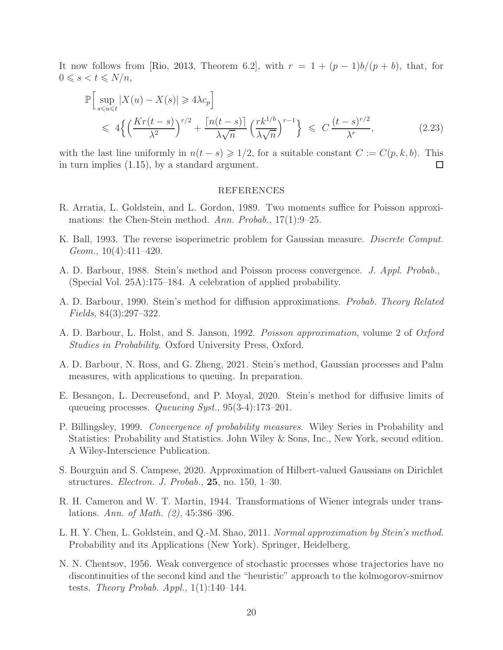It now follows from [\[Rio,](#page-20-14) [2013](#page-20-14), Theorem 6.2], with  $r = 1 + (p-1)b/(p+b)$ , that, for  $0 \leqslant s < t \leqslant N/n$ ,

$$
\mathbb{P}\Big[\sup_{s\leq u\leq t} |X(u) - X(s)| \geq 4\lambda c_p\Big] \leq 4\left\{\left(\frac{Kr(t-s)}{\lambda^2}\right)^{r/2} + \frac{\left[n(t-s)\right]}{\lambda\sqrt{n}}\left(\frac{rk^{1/b}}{\lambda\sqrt{n}}\right)^{r-1}\right\} \leq C\frac{(t-s)^{r/2}}{\lambda^r},\tag{2.23}
$$

with the last line uniformly in  $n(t - s) \geq 1/2$ , for a suitable constant  $C := C(p, k, b)$ . This in turn implies (1.15), by a standard argument. in turn implies [\(1.15\)](#page-5-3), by a standard argument.

# <span id="page-19-7"></span>REFERENCES

- <span id="page-19-3"></span>R. Arratia, L. Goldstein, and L. Gordon, 1989. Two moments suffice for Poisson approximations: the Chen-Stein method. *Ann. Probab.*, 17(1):9–25.
- <span id="page-19-8"></span>K. Ball, 1993. The reverse isoperimetric problem for Gaussian measure. *Discrete Comput. Geom.*, 10(4):411–420.
- <span id="page-19-2"></span>A. D. Barbour, 1988. Stein's method and Poisson process convergence. *J. Appl. Probab.*, (Special Vol. 25A):175–184. A celebration of applied probability.
- <span id="page-19-4"></span>A. D. Barbour, 1990. Stein's method for diffusion approximations. *Probab. Theory Related Fields*, 84(3):297–322.
- <span id="page-19-0"></span>A. D. Barbour, L. Holst, and S. Janson, 1992. *Poisson approximation*, volume 2 of *Oxford Studies in Probability*. Oxford University Press, Oxford.
- <span id="page-19-9"></span>A. D. Barbour, N. Ross, and G. Zheng, 2021. Stein's method, Gaussian processes and Palm measures, with applications to queuing. In preparation.
- <span id="page-19-5"></span>E. Besançon, L. Decreusefond, and P. Moyal, 2020. Stein's method for diffusive limits of queueing processes. *Queueing Syst.*, 95(3-4):173–201.
- <span id="page-19-11"></span>P. Billingsley, 1999. *Convergence of probability measures*. Wiley Series in Probability and Statistics: Probability and Statistics. John Wiley & Sons, Inc., New York, second edition. A Wiley-Interscience Publication.
- S. Bourguin and S. Campese, 2020. Approximation of Hilbert-valued Gaussians on Dirichlet structures. *Electron. J. Probab.*, 25, no. 150, 1–30.
- <span id="page-19-10"></span>R. H. Cameron and W. T. Martin, 1944. Transformations of Wiener integrals under translations. *Ann. of Math. (2)*, 45:386–396.
- <span id="page-19-1"></span>L. H. Y. Chen, L. Goldstein, and Q.-M. Shao, 2011. *Normal approximation by Stein's method*. Probability and its Applications (New York). Springer, Heidelberg.
- <span id="page-19-6"></span>N. N. Chentsov, 1956. Weak convergence of stochastic processes whose trajectories have no discontinuities of the second kind and the "heuristic" approach to the kolmogorov-smirnov tests. *Theory Probab. Appl.*, 1(1):140–144.